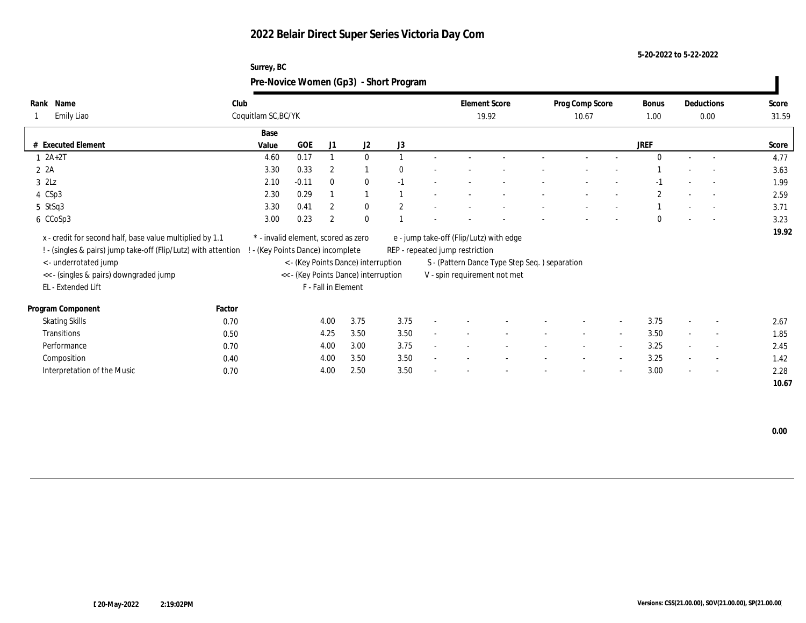### **5-20-2022 to 5-22-2022**

### **Surrey, BC Pre-Novice Women (Gp3) - Short Program**

| Name<br>Rank                                                   | Club                                |         |                     |                                      |              |        | <b>Element Score</b>            |                                                | Prog Comp Score |                          | Bonus         |        | Deductions               | Score |
|----------------------------------------------------------------|-------------------------------------|---------|---------------------|--------------------------------------|--------------|--------|---------------------------------|------------------------------------------------|-----------------|--------------------------|---------------|--------|--------------------------|-------|
| Emily Liao                                                     | Coquitlam SC, BC/YK                 |         |                     |                                      |              |        |                                 | 19.92                                          | 10.67           |                          | 1.00          |        | 0.00                     | 31.59 |
|                                                                | Base                                |         |                     |                                      |              |        |                                 |                                                |                 |                          |               |        |                          |       |
| # Executed Element                                             | Value                               | GOE     | J1                  | J <sub>2</sub>                       | J3           |        |                                 |                                                |                 |                          | <b>JREF</b>   |        |                          | Score |
| $1 2A+2T$                                                      | 4.60                                | 0.17    |                     | $\mathbf{0}$                         |              |        |                                 |                                                |                 |                          | $\Omega$      |        |                          | 4.77  |
| 2 2A                                                           | 3.30                                | 0.33    | $\overline{2}$      |                                      | $\Omega$     |        |                                 |                                                |                 |                          |               |        |                          | 3.63  |
| $3$ $2\text{L}z$                                               | 2.10                                | $-0.11$ | $\bf{0}$            | $\bf{0}$                             | $-1$         |        |                                 |                                                |                 |                          | -1            |        |                          | 1.99  |
| 4 CSp3                                                         | 2.30                                | 0.29    |                     |                                      |              |        |                                 |                                                |                 |                          | $\mathcal{P}$ |        | $\overline{\phantom{a}}$ | 2.59  |
| $5$ StSq3                                                      | 3.30                                | 0.41    | $\overline{2}$      | $\bf{0}$                             | $\mathbf{2}$ |        |                                 |                                                |                 |                          |               |        | $\overline{\phantom{a}}$ | 3.71  |
| 6 CCoSp3                                                       | 3.00                                | 0.23    | $\overline{2}$      | $\bf{0}$                             |              |        |                                 |                                                |                 |                          | $\Omega$      |        | $\overline{\phantom{a}}$ | 3.23  |
| x - credit for second half, base value multiplied by 1.1       | * - invalid element, scored as zero |         |                     |                                      |              |        |                                 | e - jump take-off (Flip/Lutz) with edge        |                 |                          |               |        |                          | 19.92 |
| ! - (singles & pairs) jump take-off (Flip/Lutz) with attention | - (Key Points Dance) incomplete     |         |                     |                                      |              |        | REP - repeated jump restriction |                                                |                 |                          |               |        |                          |       |
| < - underrotated jump                                          |                                     |         |                     | < - (Key Points Dance) interruption  |              |        |                                 | S - (Pattern Dance Type Step Seq. ) separation |                 |                          |               |        |                          |       |
| << - (singles & pairs) downgraded jump                         |                                     |         |                     | << - (Key Points Dance) interruption |              |        |                                 | V - spin requirement not met                   |                 |                          |               |        |                          |       |
| EL - Extended Lift                                             |                                     |         | F - Fall in Element |                                      |              |        |                                 |                                                |                 |                          |               |        |                          |       |
|                                                                |                                     |         |                     |                                      |              |        |                                 |                                                |                 |                          |               |        |                          |       |
| Program Component                                              | Factor                              |         |                     |                                      |              |        |                                 |                                                |                 |                          |               |        |                          |       |
| <b>Skating Skills</b>                                          | 0.70                                |         | 4.00                | 3.75                                 | 3.75         |        |                                 |                                                |                 | $\sim$                   | 3.75          |        | $\overline{\phantom{a}}$ | 2.67  |
| Transitions                                                    | 0.50                                |         | 4.25                | 3.50                                 | 3.50         | $\sim$ |                                 |                                                |                 | $\overline{\phantom{a}}$ | 3.50          | $\sim$ | $\sim$                   | 1.85  |
| Performance                                                    | 0.70                                |         | 4.00                | 3.00                                 | 3.75         | ٠      |                                 |                                                | $\sim$          | $\sim$                   | 3.25          | $\sim$ | $\sim$                   | 2.45  |
| Composition                                                    | 0.40                                |         | 4.00                | 3.50                                 | 3.50         |        |                                 |                                                |                 | $\overline{\phantom{a}}$ | 3.25          | $\sim$ | $\sim$                   | 1.42  |
| Interpretation of the Music                                    | 0.70                                |         | 4.00                | 2.50                                 | 3.50         |        |                                 |                                                |                 | $\overline{\phantom{a}}$ | 3.00          | $\sim$ | $\overline{\phantom{a}}$ | 2.28  |
|                                                                |                                     |         |                     |                                      |              |        |                                 |                                                |                 |                          |               |        |                          | 10.67 |

 **0.00**

 $\mathbf{I}$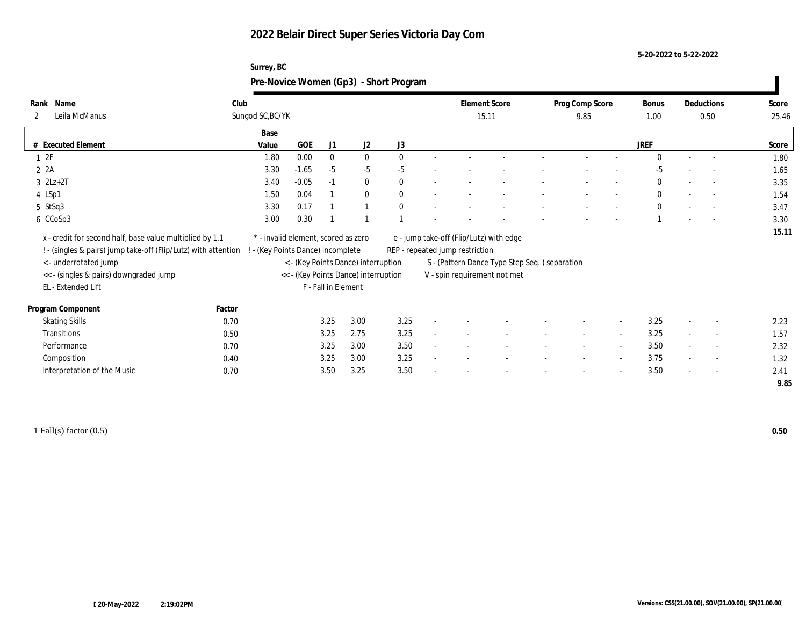**Surrey, BC**

**5-20-2022 to 5-22-2022**

|                                                                |        | Pre-Novice Women (Gp3) - Short Program |         |                     |                                      |      |                                         |                                               |                 |                          |              |                          |       |
|----------------------------------------------------------------|--------|----------------------------------------|---------|---------------------|--------------------------------------|------|-----------------------------------------|-----------------------------------------------|-----------------|--------------------------|--------------|--------------------------|-------|
| Rank Name                                                      | Club   |                                        |         |                     |                                      |      | <b>Element Score</b>                    |                                               | Prog Comp Score |                          | <b>Bonus</b> | Deductions               | Score |
| Leila McManus<br>2                                             |        | Sungod SC, BC/YK                       |         |                     |                                      |      | 15.11                                   |                                               | 9.85            |                          | 1.00         | 0.50                     | 25.46 |
|                                                                |        | Base                                   |         |                     |                                      |      |                                         |                                               |                 |                          |              |                          |       |
| # Executed Element                                             |        | Value                                  | GOE     | J1                  | J <sub>2</sub>                       | J3   |                                         |                                               |                 |                          | <b>JREF</b>  |                          | Score |
| 12F                                                            |        | 1.80                                   | 0.00    | $\mathbf{0}$        | $\mathbf{0}$                         |      |                                         |                                               |                 |                          |              |                          | 1.80  |
| $2 \t2A$                                                       |        | 3.30                                   | $-1.65$ | $-5$                | $-5$                                 | $-5$ |                                         |                                               |                 |                          | -5           |                          | 1.65  |
| $3$ $2Lz+2T$                                                   |        | 3.40                                   | $-0.05$ | $-1$                | $\mathbf{0}$                         |      |                                         |                                               |                 |                          | $\bf{0}$     | $\sim$                   | 3.35  |
| 4 LSp1                                                         |        | 1.50                                   | 0.04    |                     | $\mathbf{0}$                         |      |                                         |                                               |                 |                          | $\mathbf{0}$ | $\sim$                   | 1.54  |
| 5 StSq3                                                        |        | 3.30                                   | 0.17    |                     |                                      |      |                                         |                                               |                 |                          | $\mathbf{0}$ | $\sim$                   | 3.47  |
| 6 CCoSp3                                                       |        | 3.00                                   | 0.30    |                     |                                      |      |                                         |                                               |                 |                          |              | $\overline{\phantom{a}}$ | 3.30  |
| x - credit for second half, base value multiplied by 1.1       |        | * - invalid element, scored as zero    |         |                     |                                      |      | e - jump take-off (Flip/Lutz) with edge |                                               |                 |                          |              |                          | 15.11 |
| ! - (singles & pairs) jump take-off (Flip/Lutz) with attention |        | - (Key Points Dance) incomplete        |         |                     |                                      |      | REP - repeated jump restriction         |                                               |                 |                          |              |                          |       |
| <- underrotated jump                                           |        |                                        |         |                     | < - (Key Points Dance) interruption  |      |                                         | S - (Pattern Dance Type Step Seq.) separation |                 |                          |              |                          |       |
| << - (singles & pairs) downgraded jump                         |        |                                        |         |                     | << - (Key Points Dance) interruption |      | V - spin requirement not met            |                                               |                 |                          |              |                          |       |
| EL - Extended Lift                                             |        |                                        |         | F - Fall in Element |                                      |      |                                         |                                               |                 |                          |              |                          |       |
| Program Component                                              | Factor |                                        |         |                     |                                      |      |                                         |                                               |                 |                          |              |                          |       |
| <b>Skating Skills</b>                                          | 0.70   |                                        |         | 3.25                | 3.00                                 | 3.25 |                                         |                                               |                 |                          | 3.25         |                          | 2.23  |
| Transitions                                                    | 0.50   |                                        |         | 3.25                | 2.75                                 | 3.25 |                                         |                                               | $\sim$          | $\sim$                   | 3.25         | $\overline{\phantom{a}}$ | 1.57  |
| Performance                                                    | 0.70   |                                        |         | 3.25                | 3.00                                 | 3.50 |                                         |                                               |                 |                          | 3.50         |                          | 2.32  |
| Composition                                                    | 0.40   |                                        |         | 3.25                | 3.00                                 | 3.25 |                                         |                                               |                 | $\sim$                   | 3.75         | $\overline{\phantom{a}}$ | 1.32  |
| Interpretation of the Music                                    | 0.70   |                                        |         | 3.50                | 3.25                                 | 3.50 |                                         |                                               |                 | $\overline{\phantom{a}}$ | 3.50         | $\sim$                   | 2.41  |
|                                                                |        |                                        |         |                     |                                      |      |                                         |                                               |                 |                          |              |                          | 9.85  |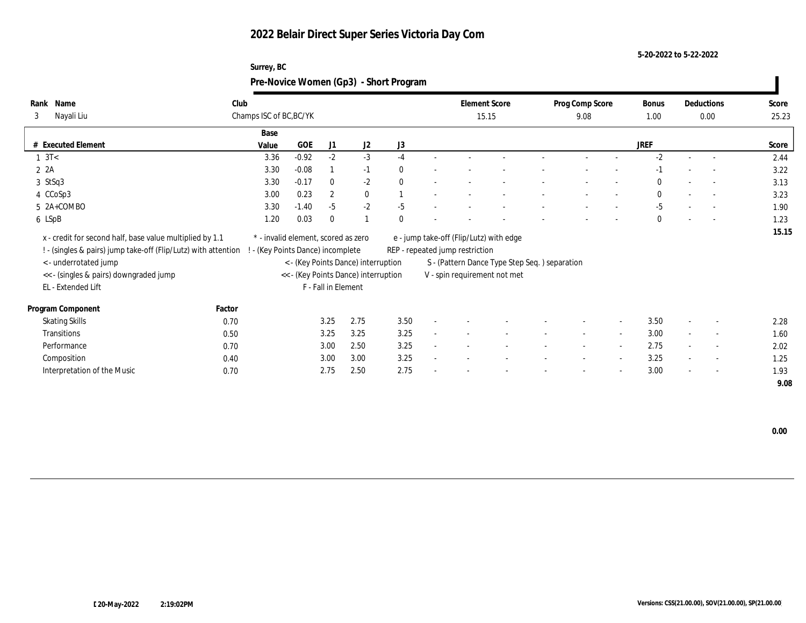**Surrey, BC**

**5-20-2022 to 5-22-2022**

|                                                                                                                            |        |                                                                        |            |                     |                                      | Pre-Novice Women (Gp3) - Short Program |                                                                            |                                               |                 |                          |              |            |       |
|----------------------------------------------------------------------------------------------------------------------------|--------|------------------------------------------------------------------------|------------|---------------------|--------------------------------------|----------------------------------------|----------------------------------------------------------------------------|-----------------------------------------------|-----------------|--------------------------|--------------|------------|-------|
| Rank Name                                                                                                                  | Club   |                                                                        |            |                     |                                      |                                        | <b>Element Score</b>                                                       |                                               | Prog Comp Score |                          | <b>Bonus</b> | Deductions | Score |
| Nayali Liu<br>3                                                                                                            |        | Champs ISC of BC, BC/YK                                                |            |                     |                                      |                                        | 15.15                                                                      |                                               | 9.08            |                          | 1.00         | 0.00       | 25.23 |
|                                                                                                                            |        | Base                                                                   |            |                     |                                      |                                        |                                                                            |                                               |                 |                          |              |            |       |
| # Executed Element                                                                                                         |        | Value                                                                  | <b>GOE</b> | J1                  | J <sub>2</sub>                       | J3                                     |                                                                            |                                               |                 |                          | <b>JREF</b>  |            | Score |
| $1 \text{ } 3T<$                                                                                                           |        | 3.36                                                                   | $-0.92$    | $-2$                | $-3$                                 | $-4$                                   |                                                                            |                                               |                 |                          | $-2$         |            | 2.44  |
| 2A                                                                                                                         |        | 3.30                                                                   | $-0.08$    |                     | $-1$                                 |                                        |                                                                            |                                               |                 |                          |              |            | 3.22  |
| 3 StSq3                                                                                                                    |        | 3.30                                                                   | $-0.17$    | $\mathbf{0}$        | $-2$                                 | 0                                      |                                                                            |                                               |                 |                          |              |            | 3.13  |
| 4 CCoSp3                                                                                                                   |        | 3.00                                                                   | 0.23       | 2                   | $\bf{0}$                             |                                        |                                                                            |                                               |                 |                          | $\Omega$     | $\sim$     | 3.23  |
| 5 2A+COMBO                                                                                                                 |        | 3.30                                                                   | $-1.40$    | $-5$                | $-2$                                 | $-5$                                   |                                                                            |                                               |                 |                          | $-5$         |            | 1.90  |
| 6 LSpB                                                                                                                     |        | 1.20                                                                   | 0.03       | $\Omega$            |                                      |                                        |                                                                            |                                               |                 |                          | $\theta$     | $\sim$     | 1.23  |
| x - credit for second half, base value multiplied by 1.1<br>! - (singles & pairs) jump take-off (Flip/Lutz) with attention |        | * - invalid element, scored as zero<br>- (Key Points Dance) incomplete |            |                     |                                      |                                        | e - jump take-off (Flip/Lutz) with edge<br>REP - repeated jump restriction |                                               |                 |                          |              |            | 15.15 |
| < - underrotated jump                                                                                                      |        |                                                                        |            |                     | < - (Key Points Dance) interruption  |                                        |                                                                            | S - (Pattern Dance Type Step Seq.) separation |                 |                          |              |            |       |
| << - (singles & pairs) downgraded jump                                                                                     |        |                                                                        |            |                     | << - (Key Points Dance) interruption |                                        | V - spin requirement not met                                               |                                               |                 |                          |              |            |       |
| EL - Extended Lift                                                                                                         |        |                                                                        |            | F - Fall in Element |                                      |                                        |                                                                            |                                               |                 |                          |              |            |       |
| Program Component                                                                                                          | Factor |                                                                        |            |                     |                                      |                                        |                                                                            |                                               |                 |                          |              |            |       |
| <b>Skating Skills</b>                                                                                                      | 0.70   |                                                                        |            | 3.25                | 2.75                                 | 3.50                                   |                                                                            |                                               |                 |                          | 3.50         |            | 2.28  |
| Transitions                                                                                                                | 0.50   |                                                                        |            | 3.25                | 3.25                                 | 3.25                                   |                                                                            |                                               |                 | $\sim$                   | 3.00         |            | 1.60  |
| Performance                                                                                                                | 0.70   |                                                                        |            | 3.00                | 2.50                                 | 3.25                                   |                                                                            |                                               |                 | $\sim$                   | 2.75         |            | 2.02  |
| Composition                                                                                                                | 0.40   |                                                                        |            | 3.00                | 3.00                                 | 3.25                                   |                                                                            |                                               |                 | $\overline{\phantom{a}}$ | 3.25         |            | 1.25  |
| Interpretation of the Music                                                                                                | 0.70   |                                                                        |            | 2.75                | 2.50                                 | 2.75                                   |                                                                            |                                               |                 |                          | 3.00         |            | 1.93  |
|                                                                                                                            |        |                                                                        |            |                     |                                      |                                        |                                                                            |                                               |                 |                          |              |            | 9.08  |

 **0.00**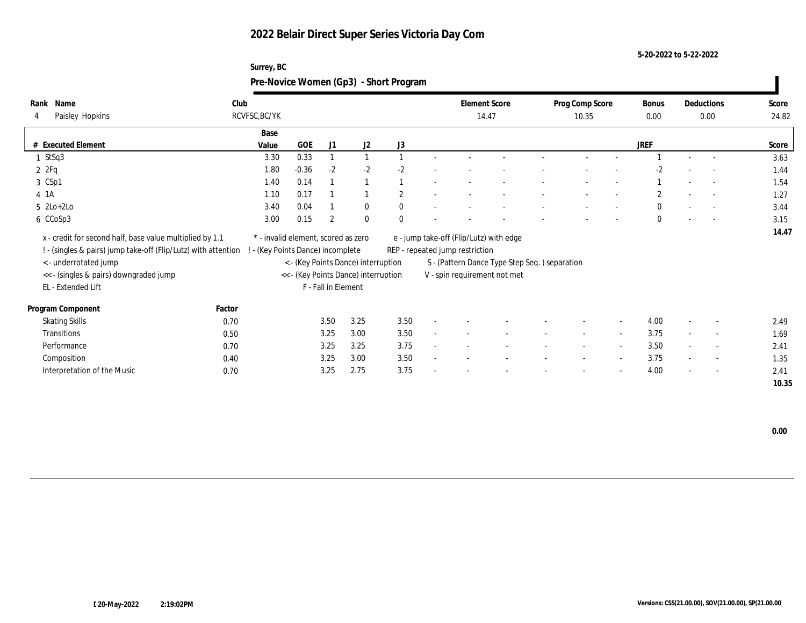**Surrey, BC**

**5-20-2022 to 5-22-2022**

|                                                                                                                                                                                              |        | Pre-Novice Women (Gp3) - Short Program                                 |            |                     |                                                                             |                |                                                                            |                                                                               |                          |                          |                      |                    |                |
|----------------------------------------------------------------------------------------------------------------------------------------------------------------------------------------------|--------|------------------------------------------------------------------------|------------|---------------------|-----------------------------------------------------------------------------|----------------|----------------------------------------------------------------------------|-------------------------------------------------------------------------------|--------------------------|--------------------------|----------------------|--------------------|----------------|
| Rank Name<br>Paisley Hopkins<br>4                                                                                                                                                            | Club   | RCVFSC, BC/YK                                                          |            |                     |                                                                             |                | <b>Element Score</b><br>14.47                                              |                                                                               | Prog Comp Score<br>10.35 |                          | <b>Bonus</b><br>0.00 | Deductions<br>0.00 | Score<br>24.82 |
|                                                                                                                                                                                              |        | Base                                                                   |            |                     |                                                                             |                |                                                                            |                                                                               |                          |                          |                      |                    |                |
| # Executed Element                                                                                                                                                                           |        | Value                                                                  | <b>GOE</b> | J <sub>1</sub>      | J <sub>2</sub>                                                              | J3             |                                                                            |                                                                               |                          |                          | <b>JREF</b>          |                    | Score          |
| 1 StSq3                                                                                                                                                                                      |        | 3.30                                                                   | 0.33       |                     |                                                                             |                |                                                                            |                                                                               |                          |                          |                      |                    | 3.63           |
| 2Pq                                                                                                                                                                                          |        | 1.80                                                                   | $-0.36$    | $-2$                | $-2$                                                                        | $-2.$          |                                                                            |                                                                               |                          |                          | $-2$                 |                    | 1.44           |
| 3 CSp1                                                                                                                                                                                       |        | 1.40                                                                   | 0.14       |                     |                                                                             |                |                                                                            |                                                                               |                          |                          |                      |                    | 1.54           |
| 4 1A                                                                                                                                                                                         |        | 1.10                                                                   | 0.17       |                     |                                                                             | $\overline{2}$ |                                                                            |                                                                               |                          |                          | $\overline{2}$       | $\sim$             | 1.27           |
| $5$ $2Lo+2Lo$                                                                                                                                                                                |        | 3.40                                                                   | 0.04       |                     | $\bf{0}$                                                                    |                |                                                                            |                                                                               |                          |                          | $\theta$             |                    | 3.44           |
| 6 CCoSp3                                                                                                                                                                                     |        | 3.00                                                                   | 0.15       | 2                   | $\mathbf{0}$                                                                |                |                                                                            |                                                                               |                          |                          | $\theta$             | $\sim$             | 3.15           |
| x - credit for second half, base value multiplied by 1.1<br>! - (singles & pairs) jump take-off (Flip/Lutz) with attention<br><- underrotated jump<br><< - (singles & pairs) downgraded jump |        | * - invalid element, scored as zero<br>- (Key Points Dance) incomplete |            |                     | < - (Key Points Dance) interruption<br><< - (Key Points Dance) interruption |                | e - jump take-off (Flip/Lutz) with edge<br>REP - repeated jump restriction | S - (Pattern Dance Type Step Seq.) separation<br>V - spin requirement not met |                          |                          |                      |                    | 14.47          |
| EL - Extended Lift                                                                                                                                                                           |        |                                                                        |            | F - Fall in Element |                                                                             |                |                                                                            |                                                                               |                          |                          |                      |                    |                |
| Program Component                                                                                                                                                                            | Factor |                                                                        |            |                     |                                                                             |                |                                                                            |                                                                               |                          |                          |                      |                    |                |
| <b>Skating Skills</b>                                                                                                                                                                        | 0.70   |                                                                        |            | 3.50                | 3.25                                                                        | 3.50           |                                                                            |                                                                               |                          |                          | 4.00                 |                    | 2.49           |
| Transitions                                                                                                                                                                                  | 0.50   |                                                                        |            | 3.25                | 3.00                                                                        | 3.50           |                                                                            |                                                                               |                          | $\sim$                   | 3.75                 | $\overline{a}$     | 1.69           |
| Performance                                                                                                                                                                                  | 0.70   |                                                                        |            | 3.25                | 3.25                                                                        | 3.75           |                                                                            |                                                                               |                          | $\overline{\phantom{a}}$ | 3.50                 |                    | 2.41           |
| Composition                                                                                                                                                                                  | 0.40   |                                                                        |            | 3.25                | 3.00                                                                        | 3.50           |                                                                            |                                                                               |                          |                          | 3.75                 |                    | 1.35           |
| Interpretation of the Music                                                                                                                                                                  | 0.70   |                                                                        |            | 3.25                | 2.75                                                                        | 3.75           |                                                                            |                                                                               |                          |                          | 4.00                 |                    | 2.41           |
|                                                                                                                                                                                              |        |                                                                        |            |                     |                                                                             |                |                                                                            |                                                                               |                          |                          |                      |                    | 10.35          |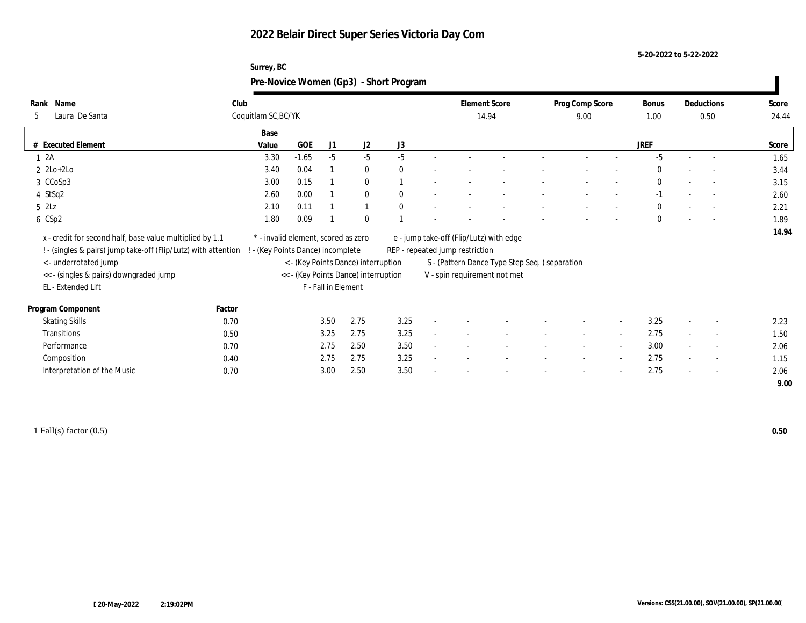### **5-20-2022 to 5-22-2022**

| Surrey, BC                             |
|----------------------------------------|
| Pre-Novice Women (Gp3) - Short Program |

| Name<br>Rank                                                   | Club                                |            |                     |                                      |              |        | <b>Element Score</b>                    |                                               | Prog Comp Score |                          | Bonus        |                          | Deductions               | Score |
|----------------------------------------------------------------|-------------------------------------|------------|---------------------|--------------------------------------|--------------|--------|-----------------------------------------|-----------------------------------------------|-----------------|--------------------------|--------------|--------------------------|--------------------------|-------|
| Laura De Santa<br>5                                            | Coquitlam SC, BC/YK                 |            |                     |                                      |              |        | 14.94                                   |                                               | 9.00            |                          | 1.00         |                          | 0.50                     | 24.44 |
|                                                                | Base                                |            |                     |                                      |              |        |                                         |                                               |                 |                          |              |                          |                          |       |
| # Executed Element                                             | Value                               | <b>GOE</b> | J1                  | J <sub>2</sub>                       | J3           |        |                                         |                                               |                 |                          | <b>JREF</b>  |                          |                          | Score |
| 1 2A                                                           | 3.30                                | $-1.65$    | $-5$                | $-5$                                 | $-5$         |        |                                         |                                               |                 |                          | $-5$         | $\sim$                   | $\overline{\phantom{a}}$ | 1.65  |
| $2 \text{ } 2\text{Lo}+2\text{Lo}$                             | 3.40                                | 0.04       |                     | $\bf{0}$                             | $\theta$     |        |                                         |                                               |                 |                          | $\bf{0}$     |                          |                          | 3.44  |
| 3 CCoSp3                                                       | 3.00                                | 0.15       |                     | $\bf{0}$                             |              |        |                                         |                                               |                 |                          | $\mathbf{0}$ |                          | $\sim$                   | 3.15  |
| 4 StSq2                                                        | 2.60                                | 0.00       |                     | $\bf{0}$                             | $\mathbf{0}$ |        |                                         |                                               |                 |                          | $-1$         |                          | $\overline{\phantom{a}}$ | 2.60  |
| $5$ $2\text{L}z$                                               | 2.10                                | 0.11       |                     |                                      | $\mathbf{0}$ |        |                                         |                                               |                 |                          | $\mathbf{0}$ |                          | $\overline{\phantom{a}}$ | 2.21  |
| 6 CSp2                                                         | 1.80                                | 0.09       |                     | $\mathbf{0}$                         |              |        |                                         |                                               |                 |                          | $\bf{0}$     |                          | $\sim$                   | 1.89  |
| x - credit for second half, base value multiplied by 1.1       | * - invalid element, scored as zero |            |                     |                                      |              |        | e - jump take-off (Flip/Lutz) with edge |                                               |                 |                          |              |                          |                          | 14.94 |
| ! - (singles & pairs) jump take-off (Flip/Lutz) with attention | (Key Points Dance) incomplete       |            |                     |                                      |              |        | REP - repeated jump restriction         |                                               |                 |                          |              |                          |                          |       |
| < - underrotated jump                                          |                                     |            |                     | < - (Key Points Dance) interruption  |              |        |                                         | S - (Pattern Dance Type Step Seq.) separation |                 |                          |              |                          |                          |       |
| << - (singles & pairs) downgraded jump                         |                                     |            |                     | << - (Key Points Dance) interruption |              |        |                                         | V - spin requirement not met                  |                 |                          |              |                          |                          |       |
| EL - Extended Lift                                             |                                     |            | F - Fall in Element |                                      |              |        |                                         |                                               |                 |                          |              |                          |                          |       |
| Program Component                                              | Factor                              |            |                     |                                      |              |        |                                         |                                               |                 |                          |              |                          |                          |       |
| <b>Skating Skills</b>                                          | 0.70                                |            | 3.50                | 2.75                                 | 3.25         |        |                                         |                                               |                 |                          | 3.25         |                          | $\overline{\phantom{a}}$ | 2.23  |
| Transitions                                                    | 0.50                                |            | 3.25                | 2.75                                 | 3.25         | $\sim$ |                                         |                                               |                 | $\overline{\phantom{a}}$ | 2.75         | $\overline{\phantom{a}}$ | $\overline{\phantom{a}}$ | 1.50  |
| Performance                                                    | 0.70                                |            | 2.75                | 2.50                                 | 3.50         |        |                                         |                                               |                 |                          | 3.00         |                          | $\overline{\phantom{a}}$ | 2.06  |
| Composition                                                    | 0.40                                |            | 2.75                | 2.75                                 | 3.25         |        |                                         |                                               |                 | $\sim$                   | 2.75         |                          | $\overline{\phantom{a}}$ | 1.15  |
| Interpretation of the Music                                    | 0.70                                |            | 3.00                | 2.50                                 | 3.50         |        |                                         |                                               |                 |                          | 2.75         |                          | $\overline{\phantom{a}}$ | 2.06  |
|                                                                |                                     |            |                     |                                      |              |        |                                         |                                               |                 |                          |              |                          |                          | 9.00  |
|                                                                |                                     |            |                     |                                      |              |        |                                         |                                               |                 |                          |              |                          |                          |       |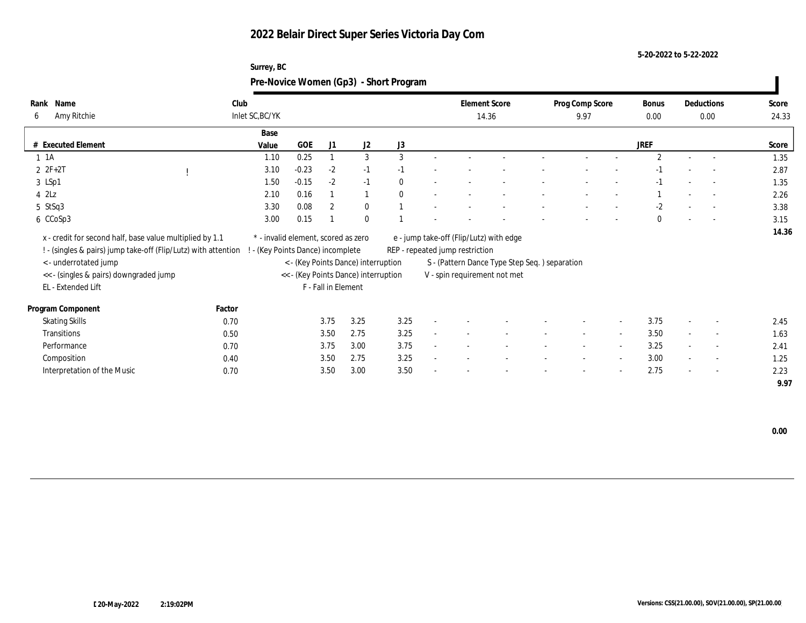**Surrey, BC**

**5-20-2022 to 5-22-2022**

|                                                                                                                            |        |                                                                        |            |                     |                                      | Pre-Novice Women (Gp3) - Short Program |                                 |                                               |                         |                          |                      |        |                          |                |
|----------------------------------------------------------------------------------------------------------------------------|--------|------------------------------------------------------------------------|------------|---------------------|--------------------------------------|----------------------------------------|---------------------------------|-----------------------------------------------|-------------------------|--------------------------|----------------------|--------|--------------------------|----------------|
| Rank Name<br>Amy Ritchie<br>6                                                                                              | Club   | Inlet SC, BC/YK                                                        |            |                     |                                      |                                        |                                 | <b>Element Score</b><br>14.36                 | Prog Comp Score<br>9.97 |                          | <b>Bonus</b><br>0.00 |        | Deductions<br>0.00       | Score<br>24.33 |
|                                                                                                                            |        | Base                                                                   |            |                     |                                      |                                        |                                 |                                               |                         |                          |                      |        |                          |                |
| # Executed Element                                                                                                         |        | Value                                                                  | <b>GOE</b> | J1                  | J <sub>2</sub>                       | J3                                     |                                 |                                               |                         |                          | <b>JREF</b>          |        |                          | Score          |
| $1 \t1A$                                                                                                                   |        | 1.10                                                                   | 0.25       |                     | 3                                    | 3                                      |                                 |                                               |                         |                          | $\overline{2}$       |        | $\overline{\phantom{a}}$ | 1.35           |
| $2 F + 2T$                                                                                                                 |        | 3.10                                                                   | $-0.23$    | $-2$                | $-1$                                 |                                        |                                 |                                               |                         |                          |                      |        |                          | 2.87           |
| 3 LSp1                                                                                                                     |        | 1.50                                                                   | $-0.15$    | $-2$                | $-1$                                 |                                        |                                 |                                               |                         |                          |                      |        |                          | 1.35           |
| $4$ $2\text{L}z$                                                                                                           |        | 2.10                                                                   | 0.16       |                     |                                      |                                        |                                 |                                               |                         |                          |                      |        |                          | 2.26           |
| 5 StSq3                                                                                                                    |        | 3.30                                                                   | 0.08       | $\overline{2}$      | $\mathbf{0}$                         |                                        |                                 |                                               |                         |                          | $-2$                 |        | $\sim$                   | 3.38           |
| 6 CCoSp3                                                                                                                   |        | 3.00                                                                   | 0.15       |                     | $\mathbf{0}$                         |                                        |                                 |                                               |                         |                          | $\bf{0}$             |        | $\sim$                   | 3.15           |
| x - credit for second half, base value multiplied by 1.1<br>! - (singles & pairs) jump take-off (Flip/Lutz) with attention |        | * - invalid element, scored as zero<br>- (Key Points Dance) incomplete |            |                     |                                      |                                        | REP - repeated jump restriction | e - jump take-off (Flip/Lutz) with edge       |                         |                          |                      |        |                          | 14.36          |
| < - underrotated jump                                                                                                      |        |                                                                        |            |                     | < - (Key Points Dance) interruption  |                                        |                                 | S - (Pattern Dance Type Step Seq.) separation |                         |                          |                      |        |                          |                |
| << - (singles & pairs) downgraded jump                                                                                     |        |                                                                        |            |                     | << - (Key Points Dance) interruption |                                        |                                 | V - spin requirement not met                  |                         |                          |                      |        |                          |                |
| EL - Extended Lift                                                                                                         |        |                                                                        |            | F - Fall in Element |                                      |                                        |                                 |                                               |                         |                          |                      |        |                          |                |
| Program Component                                                                                                          | Factor |                                                                        |            |                     |                                      |                                        |                                 |                                               |                         |                          |                      |        |                          |                |
| <b>Skating Skills</b>                                                                                                      | 0.70   |                                                                        |            | 3.75                | 3.25                                 | 3.25                                   |                                 |                                               |                         | $\overline{\phantom{a}}$ | 3.75                 |        |                          | 2.45           |
| Transitions                                                                                                                | 0.50   |                                                                        |            | 3.50                | 2.75                                 | 3.25                                   |                                 |                                               |                         | $\sim$                   | 3.50                 | $\sim$ | $\sim$                   | 1.63           |
| Performance                                                                                                                | 0.70   |                                                                        |            | 3.75                | 3.00                                 | 3.75                                   |                                 |                                               |                         | $\overline{\phantom{a}}$ | 3.25                 |        | $\sim$                   | 2.41           |
| Composition                                                                                                                | 0.40   |                                                                        |            | 3.50                | 2.75                                 | 3.25                                   |                                 |                                               |                         | $\sim$                   | 3.00                 | $\sim$ | $\sim$                   | 1.25           |
| Interpretation of the Music                                                                                                | 0.70   |                                                                        |            | 3.50                | 3.00                                 | 3.50                                   |                                 |                                               |                         |                          | 2.75                 |        |                          | 2.23           |

 **9.97**

 **0.00**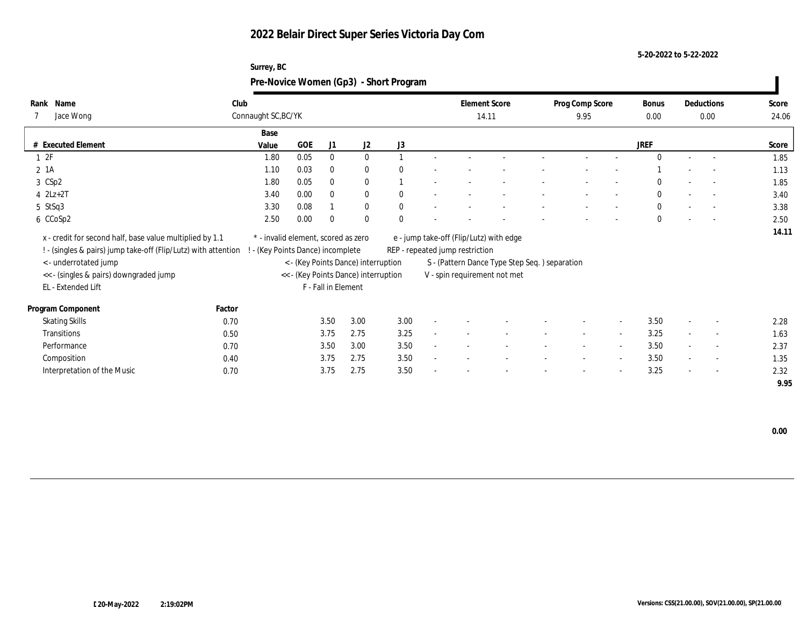**5-20-2022 to 5-22-2022**

|                          | Surrey, BC<br>Pre-Novice Women (Gp3) - Short Program |      |          |              |              |                               |                          |                          |        |               |                          |                          |                |
|--------------------------|------------------------------------------------------|------|----------|--------------|--------------|-------------------------------|--------------------------|--------------------------|--------|---------------|--------------------------|--------------------------|----------------|
| lank Name<br>7 Jace Wong | Club<br>Connaught SC, BC/YK                          |      |          |              |              | <b>Element Score</b><br>14.11 |                          | Prog Comp Score<br>9.95  |        | Bonus<br>0.00 | Deductions<br>0.00       |                          | Score<br>24.06 |
|                          | Base                                                 |      |          |              |              |                               |                          |                          |        |               |                          |                          |                |
| Executed Element         | Value                                                | GOE  | J1       | $_{\rm J2}$  | J3           |                               |                          |                          |        | <b>JREF</b>   |                          |                          | Score          |
| $\perp$ 2F               | 1.80                                                 | 0.05 | $\bf{0}$ | $\mathbf{U}$ |              |                               |                          | $\overline{\phantom{a}}$ |        |               | $\sim$                   | $\overline{\phantom{a}}$ | 1.85           |
| $2 \; 1A$                | 1.10                                                 | 0.03 | $\bf{0}$ | $\Omega$     | $\mathbf{0}$ |                               |                          |                          |        |               | $\overline{\phantom{0}}$ | $\sim$ $-$               | 1.13           |
| 3 CSp2                   | 1.80                                                 | 0.05 | $\bf{0}$ | $\Omega$     |              |                               | $\overline{\phantom{0}}$ | $\overline{\phantom{0}}$ | $\sim$ | $\mathbf{0}$  | $\sim$                   | <b>Contractor</b>        | 1.85           |
|                          |                                                      |      |          |              |              |                               |                          |                          |        |               |                          |                          |                |

| 2 1A                                                             |        | 1.10                                | 0.03                | $\Omega$     | $\bf{0}$                             | $\mathbf{0}$ |                          |                                 |                                               |                          |        |                          |              | $\overline{\phantom{a}}$ |                          | 1.13  |
|------------------------------------------------------------------|--------|-------------------------------------|---------------------|--------------|--------------------------------------|--------------|--------------------------|---------------------------------|-----------------------------------------------|--------------------------|--------|--------------------------|--------------|--------------------------|--------------------------|-------|
| 3 CSp2                                                           |        | 1.80                                | 0.05                | $\mathbf{0}$ | $\bf{0}$                             |              |                          |                                 |                                               |                          |        |                          | $\mathbf{0}$ | $\overline{\phantom{a}}$ |                          | 1.85  |
| $4$ $2Lz+2T$                                                     |        | 3.40                                | 0.00                | $\theta$     | $\bf{0}$                             | $\mathbf{0}$ |                          |                                 |                                               |                          | $\sim$ |                          | $\mathbf{0}$ | $\overline{\phantom{a}}$ | $\sim$                   | 3.40  |
| 5 StSq3                                                          |        | 3.30                                | 0.08                |              | $\mathbf{0}$                         | $\Omega$     | $\overline{\phantom{0}}$ |                                 |                                               |                          | $\sim$ |                          | $\mathbf{0}$ | $\overline{\phantom{a}}$ |                          | 3.38  |
| 6 CCoSp2                                                         |        | 2.50                                | 0.00                | $\Omega$     | $\mathbf{0}$                         | $\Omega$     |                          |                                 |                                               |                          |        |                          | $\mathbf{0}$ | $\sim$                   | $\overline{\phantom{a}}$ | 2.50  |
| x - credit for second half, base value multiplied by 1.1         |        | * - invalid element, scored as zero |                     |              |                                      |              |                          |                                 | e - jump take-off (Flip/Lutz) with edge       |                          |        |                          |              |                          |                          | 14.11 |
| ! - (singles & pairs) jump take-off (Flip/Lutz) with attention ! |        | - (Key Points Dance) incomplete     |                     |              |                                      |              |                          | REP - repeated jump restriction |                                               |                          |        |                          |              |                          |                          |       |
| < - underrotated jump                                            |        |                                     |                     |              | < - (Key Points Dance) interruption  |              |                          |                                 | S - (Pattern Dance Type Step Seq.) separation |                          |        |                          |              |                          |                          |       |
| << - (singles & pairs) downgraded jump                           |        |                                     |                     |              | << - (Key Points Dance) interruption |              |                          |                                 | V - spin requirement not met                  |                          |        |                          |              |                          |                          |       |
| EL - Extended Lift                                               |        |                                     | F - Fall in Element |              |                                      |              |                          |                                 |                                               |                          |        |                          |              |                          |                          |       |
| Program Component                                                | Factor |                                     |                     |              |                                      |              |                          |                                 |                                               |                          |        |                          |              |                          |                          |       |
| <b>Skating Skills</b>                                            | 0.70   |                                     |                     | 3.50         | 3.00                                 | 3.00         | $\sim$                   |                                 |                                               |                          |        | $\sim$                   | 3.50         | $\overline{\phantom{a}}$ | $\overline{\phantom{a}}$ | 2.28  |
| Transitions                                                      | 0.50   |                                     |                     | 3.75         | 2.75                                 | 3.25         | $\sim$                   |                                 |                                               |                          | $\sim$ | $\overline{\phantom{a}}$ | 3.25         | $\overline{\phantom{a}}$ | $\overline{\phantom{a}}$ | 1.63  |
| Performance                                                      | 0.70   |                                     |                     | 3.50         | 3.00                                 | 3.50         | $\sim$                   | $\overline{\phantom{a}}$        |                                               | $\overline{\phantom{a}}$ | $\sim$ | $\overline{\phantom{a}}$ | 3.50         | $\overline{\phantom{a}}$ | $\overline{a}$           | 2.37  |
| Composition                                                      | 0.40   |                                     |                     | 3.75         | 2.75                                 | 3.50         | $\sim$                   |                                 |                                               | $\overline{\phantom{0}}$ | $\sim$ | $\sim$                   | 3.50         | $\overline{\phantom{a}}$ | $\overline{a}$           | 1.35  |
| Interpretation of the Music                                      | 0.70   |                                     |                     | 3.75         | 2.75                                 | 3.50         | $\overline{\phantom{a}}$ |                                 |                                               |                          | $\sim$ | $\sim$                   | 3.25         | $\overline{\phantom{a}}$ | $\sim$                   | 2.32  |
|                                                                  |        |                                     |                     |              |                                      |              |                          |                                 |                                               |                          |        |                          |              |                          |                          | 9.95  |

**Rank** 7 Jace Wong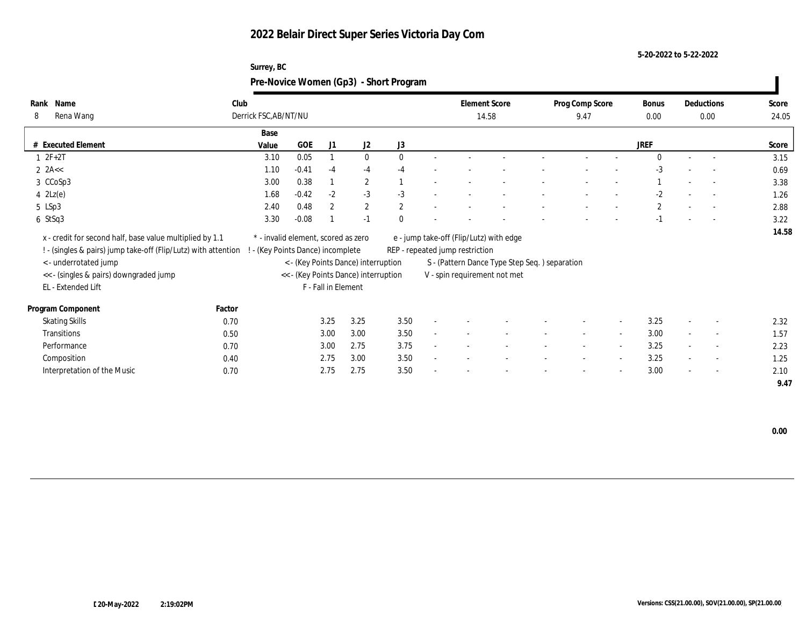### **5-20-2022 to 5-22-2022**

| Surrey, BC                             |
|----------------------------------------|
| Pre-Novice Women (Gp3) - Short Program |

| Name<br>Rank                                                   | Club   |                                     |                     |                                      |              |              |                                 | <b>Element Score</b>                          | Prog Comp Score          |                          | Bonus        |        | Deductions               | Score |
|----------------------------------------------------------------|--------|-------------------------------------|---------------------|--------------------------------------|--------------|--------------|---------------------------------|-----------------------------------------------|--------------------------|--------------------------|--------------|--------|--------------------------|-------|
| Rena Wang<br>8                                                 |        | Derrick FSC, AB/NT/NU               |                     |                                      |              |              |                                 | 14.58                                         | 9.47                     |                          | $0.00\,$     |        | 0.00                     | 24.05 |
|                                                                |        | Base                                |                     |                                      |              |              |                                 |                                               |                          |                          |              |        |                          |       |
| # Executed Element                                             | Value  | GOE                                 | J1                  | J2                                   | J3           |              |                                 |                                               |                          |                          | <b>JREF</b>  |        |                          | Score |
| $1 2F+2T$                                                      |        | 0.05<br>3.10                        |                     | $\mathbf{0}$                         | $\Omega$     |              |                                 |                                               |                          |                          | $\Omega$     |        |                          | 3.15  |
| 2 $2A<<$                                                       |        | $-0.41$<br>1.10                     | $-4$                | $-4$                                 | $-4$         |              |                                 |                                               |                          |                          | $-3$         |        | $\overline{\phantom{a}}$ | 0.69  |
| 3 CCoSp3                                                       |        | 0.38<br>3.00                        |                     | $\mathbf{2}$                         |              |              |                                 |                                               |                          |                          |              |        | $\sim$                   | 3.38  |
| $4 \text{ } 2\text{Lz}(e)$                                     |        | $-0.42$<br>1.68                     | $-2$                | $-3$                                 | $-3$         |              |                                 |                                               |                          |                          | $-2$         |        |                          | 1.26  |
| 5 LSp3                                                         |        | 0.48<br>2.40                        | $\mathbf{2}$        | $\mathbf{2}$                         | $\mathbf{2}$ |              |                                 |                                               |                          |                          | $\mathbf{2}$ |        |                          | 2.88  |
| 6 StSq3                                                        |        | 3.30<br>$-0.08$                     |                     | $-1$                                 | $\theta$     |              |                                 |                                               |                          |                          | $-1$         |        | $\overline{a}$           | 3.22  |
| x - credit for second half, base value multiplied by 1.1       |        | * - invalid element, scored as zero |                     |                                      |              |              |                                 | e - jump take-off (Flip/Lutz) with edge       |                          |                          |              |        |                          | 14.58 |
| ! - (singles & pairs) jump take-off (Flip/Lutz) with attention |        | - (Key Points Dance) incomplete     |                     |                                      |              |              | REP - repeated jump restriction |                                               |                          |                          |              |        |                          |       |
| < - underrotated jump                                          |        |                                     |                     | < - (Key Points Dance) interruption  |              |              |                                 | S - (Pattern Dance Type Step Seq.) separation |                          |                          |              |        |                          |       |
| << - (singles & pairs) downgraded jump                         |        |                                     |                     | << - (Key Points Dance) interruption |              |              |                                 | V - spin requirement not met                  |                          |                          |              |        |                          |       |
| EL - Extended Lift                                             |        |                                     | F - Fall in Element |                                      |              |              |                                 |                                               |                          |                          |              |        |                          |       |
|                                                                |        |                                     |                     |                                      |              |              |                                 |                                               |                          |                          |              |        |                          |       |
| Program Component                                              | Factor |                                     |                     |                                      |              |              |                                 |                                               |                          |                          |              |        |                          |       |
| <b>Skating Skills</b>                                          | 0.70   |                                     | 3.25                | 3.25                                 | 3.50         |              |                                 |                                               |                          | $\overline{\phantom{a}}$ | 3.25         |        | $\overline{\phantom{a}}$ | 2.32  |
| Transitions                                                    | 0.50   |                                     | 3.00                | 3.00                                 | 3.50         | $\mathbf{r}$ |                                 |                                               | $\overline{\phantom{a}}$ | $\overline{\phantom{a}}$ | 3.00         | $\sim$ | $\sim$                   | 1.57  |
| Performance                                                    | 0.70   |                                     | 3.00                | 2.75                                 | 3.75         | $\sim$       |                                 |                                               | $\overline{\phantom{a}}$ | $\sim$                   | 3.25         | $\sim$ | $\overline{\phantom{a}}$ | 2.23  |
| Composition                                                    | 0.40   |                                     | 2.75                | 3.00                                 | 3.50         |              |                                 |                                               |                          | $\sim$                   | 3.25         | $\sim$ | $\overline{\phantom{a}}$ | 1.25  |
| Interpretation of the Music                                    | 0.70   |                                     | 2.75                | 2.75                                 | 3.50         |              |                                 |                                               |                          | $\overline{\phantom{a}}$ | 3.00         | $\sim$ | $\sim$                   | 2.10  |
|                                                                |        |                                     |                     |                                      |              |              |                                 |                                               |                          |                          |              |        |                          | 9.47  |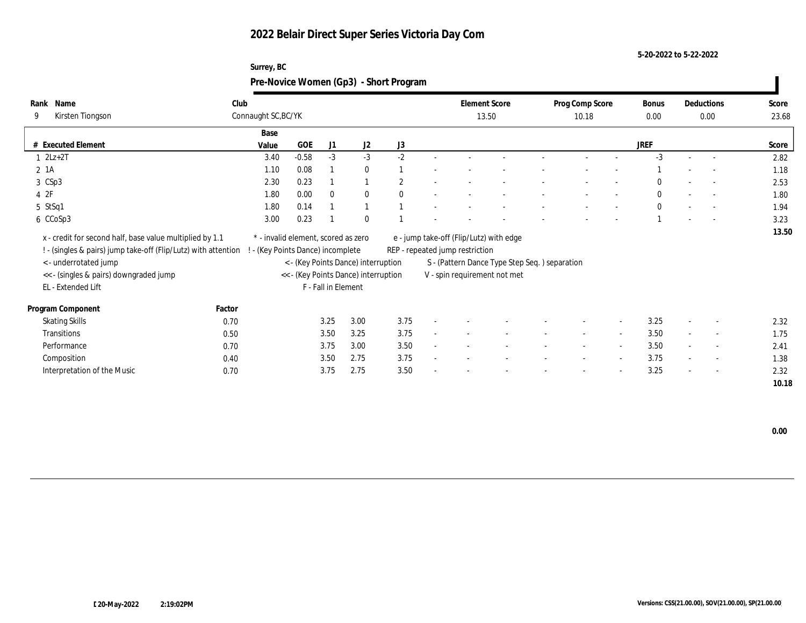### **5-20-2022 to 5-22-2022**

| Surrey, BC                             |  |
|----------------------------------------|--|
| Pre-Novice Women (Gp3) - Short Program |  |

| Rank<br>Name                                                   | Club                                |                               |                     |                                      |                |        | <b>Element Score</b>            |                                               | Prog Comp Score          |                          | Bonus        |        | Deductions               | Score |
|----------------------------------------------------------------|-------------------------------------|-------------------------------|---------------------|--------------------------------------|----------------|--------|---------------------------------|-----------------------------------------------|--------------------------|--------------------------|--------------|--------|--------------------------|-------|
| 9<br>Kirsten Tiongson                                          | Connaught SC, BC/YK                 |                               |                     |                                      |                |        |                                 | 13.50                                         | 10.18                    |                          | $0.00\,$     |        | 0.00                     | 23.68 |
|                                                                | Base                                |                               |                     |                                      |                |        |                                 |                                               |                          |                          |              |        |                          |       |
| # Executed Element                                             | Value                               | GOE                           | J1                  | J2                                   | J3             |        |                                 |                                               |                          |                          | <b>JREF</b>  |        |                          | Score |
| $1 \quad 2Lz+2T$                                               | 3.40                                | $-0.58$                       | $-3$                | $-3$                                 | $-2$           |        |                                 |                                               |                          |                          | $-3$         |        | $\overline{a}$           | 2.82  |
| $2 \; 1A$                                                      | 1.10                                | 0.08                          |                     | $\bf{0}$                             |                |        |                                 |                                               |                          |                          |              |        | $\sim$                   | 1.18  |
| 3 CSp3                                                         | 2.30                                | 0.23                          |                     |                                      | $\overline{2}$ | $\sim$ |                                 |                                               |                          |                          | $\Omega$     |        | $\sim$                   | 2.53  |
| 4 2F                                                           | 1.80                                | 0.00                          | $\mathbf{0}$        | $\mathbf{0}$                         | $\theta$       |        |                                 |                                               |                          |                          | $\mathbf{0}$ | $\sim$ | $\overline{a}$           | 1.80  |
| 5 StSq1                                                        | 1.80                                | 0.14                          |                     |                                      |                |        |                                 |                                               |                          |                          | $\mathbf{0}$ |        |                          | 1.94  |
| 6 CCoSp3                                                       | 3.00                                | 0.23                          |                     | $\theta$                             |                |        |                                 |                                               |                          |                          |              |        | $\overline{a}$           | 3.23  |
| x - credit for second half, base value multiplied by 1.1       | * - invalid element, scored as zero |                               |                     |                                      |                |        |                                 | e - jump take-off (Flip/Lutz) with edge       |                          |                          |              |        |                          | 13.50 |
| ! - (singles & pairs) jump take-off (Flip/Lutz) with attention |                                     | (Key Points Dance) incomplete |                     |                                      |                |        | REP - repeated jump restriction |                                               |                          |                          |              |        |                          |       |
| < - underrotated jump                                          |                                     |                               |                     | < - (Key Points Dance) interruption  |                |        |                                 | S - (Pattern Dance Type Step Seq.) separation |                          |                          |              |        |                          |       |
| << - (singles & pairs) downgraded jump                         |                                     |                               |                     | << - (Key Points Dance) interruption |                |        |                                 | V - spin requirement not met                  |                          |                          |              |        |                          |       |
| EL - Extended Lift                                             |                                     |                               | F - Fall in Element |                                      |                |        |                                 |                                               |                          |                          |              |        |                          |       |
|                                                                |                                     |                               |                     |                                      |                |        |                                 |                                               |                          |                          |              |        |                          |       |
| Program Component                                              | Factor                              |                               |                     |                                      |                |        |                                 |                                               |                          |                          |              |        |                          |       |
| <b>Skating Skills</b>                                          | 0.70                                |                               | 3.25                | 3.00                                 | 3.75           |        |                                 |                                               |                          | $\overline{\phantom{a}}$ | 3.25         |        | $\overline{\phantom{a}}$ | 2.32  |
| Transitions                                                    | 0.50                                |                               | 3.50                | 3.25                                 | 3.75           | $\sim$ |                                 |                                               | $\overline{\phantom{a}}$ | $\overline{\phantom{a}}$ | 3.50         |        | $\sim$                   | 1.75  |
| Performance                                                    | 0.70                                |                               | 3.75                | 3.00                                 | 3.50           | $\sim$ |                                 |                                               | $\overline{\phantom{a}}$ | $\overline{\phantom{a}}$ | 3.50         | $\sim$ | $\overline{\phantom{a}}$ | 2.41  |
| Composition                                                    | 0.40                                |                               | 3.50                | 2.75                                 | 3.75           | $\sim$ |                                 |                                               | $\overline{\phantom{a}}$ | $\sim$                   | 3.75         | $\sim$ | $\overline{\phantom{a}}$ | 1.38  |
| Interpretation of the Music                                    | 0.70                                |                               | 3.75                | 2.75                                 | 3.50           |        |                                 |                                               |                          | $\overline{\phantom{a}}$ | 3.25         | $\sim$ | $\overline{\phantom{a}}$ | 2.32  |
|                                                                |                                     |                               |                     |                                      |                |        |                                 |                                               |                          |                          |              |        |                          | 10.18 |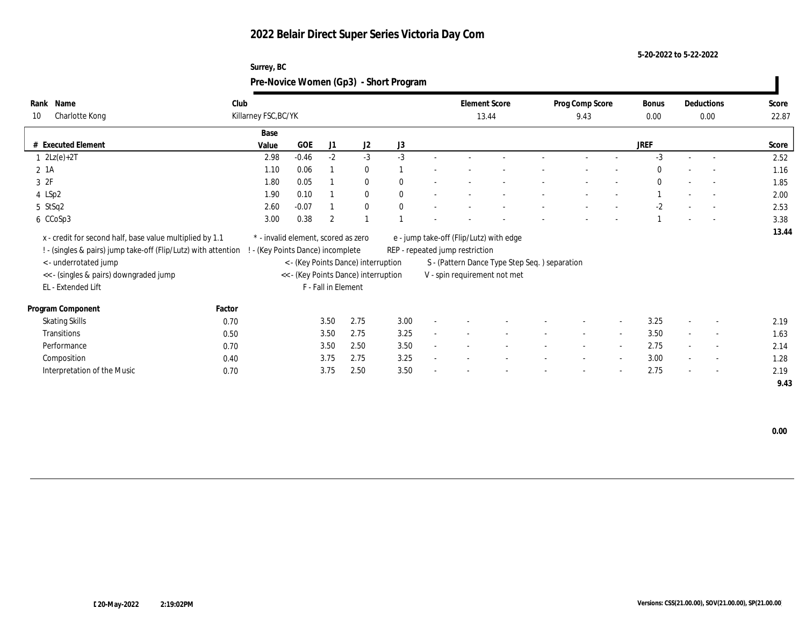**5-20-2022 to 5-22-2022**

|                      | $- - - - -$<br>Pre-Novice Women (Gp3) - Short Program |            |      |              |                |                      |  |                 |             |                          |                   |       |
|----------------------|-------------------------------------------------------|------------|------|--------------|----------------|----------------------|--|-----------------|-------------|--------------------------|-------------------|-------|
| Rank Name            | Club                                                  |            |      |              |                | <b>Element Score</b> |  | Prog Comp Score | Bonus       |                          | Deductions        | Score |
| 10<br>Charlotte Kong | Killarney FSC, BC/YK                                  |            |      |              |                | 13.44                |  | 9.43            | 0.00        |                          | 0.00              | 22.87 |
|                      | Base                                                  |            |      |              |                |                      |  |                 |             |                          |                   |       |
| # Executed Element   | Value                                                 | <b>GOE</b> | J1   | J2           | J3             |                      |  |                 | <b>JREF</b> |                          |                   | Score |
| $1 \quad 2Lz(e)+2T$  | 2.98                                                  | $-0.46$    | $-2$ | -3           | $-3$           |                      |  |                 |             |                          |                   | 2.52  |
| 2 1A                 | 1.10                                                  | 0.06       |      | $\mathbf{0}$ |                |                      |  |                 | $\Omega$    | $\overline{\phantom{a}}$ |                   | 1.16  |
| 3 2F                 | 1.80                                                  | $0.05\,$   |      | $\mathbf{0}$ | $\bf{0}$       |                      |  |                 | $\Omega$    | $\overline{\phantom{a}}$ |                   | 1.85  |
| 4 LSp2               | 1.90                                                  | 0.10       |      | $\Omega$     | $\mathbf{0}$   |                      |  |                 |             | $\overline{\phantom{a}}$ |                   | 2.00  |
| 5 StSq2              | 2.60                                                  | $-0.07$    |      | $\mathbf{0}$ | $\overline{0}$ |                      |  |                 | $-2$        | $\overline{\phantom{a}}$ | <b>Contractor</b> | 2.53  |
| 6 CCoSp3             | 3.00                                                  | 0.38       | 2    |              |                |                      |  |                 |             | $\overline{\phantom{a}}$ | $\sim$ 100 $-$    | 3.38  |
|                      |                                                       |            |      |              |                |                      |  |                 |             |                          |                   | .     |

 **13.44** x - credit for second half, base value multiplied by 1.1 \* - invalid element, scored as zero e - jump take-off (Flip/Lutz) with edge

**Surrey, BC**

! - (singles & pairs) jump take-off (Flip/Lutz) with attention ! - (Key Points Dance) incomplete REP - repeated jump restriction

| < - underrotated jump                  | < - (Key Points Dance) interruption  | S - (Pattern Dance Type Step Seq. ) separation |
|----------------------------------------|--------------------------------------|------------------------------------------------|
| << - (singles & pairs) downgraded jump | << - (Key Points Dance) interruption | V - spin requirement not met                   |
| EL - Extended Lift                     | F - Fall in Element                  |                                                |

| Program Component           | Factor |      |      |      |                          |                          |  |                          |                          |      |                          |                          |      |
|-----------------------------|--------|------|------|------|--------------------------|--------------------------|--|--------------------------|--------------------------|------|--------------------------|--------------------------|------|
| <b>Skating Skills</b>       | 0.70   | 3.50 | 2.75 | 3.00 |                          |                          |  |                          | $\sim$                   | 3.25 |                          | $\sim$                   | 2.19 |
| Transitions                 | 0.50   | 3.50 | 2.75 | 3.25 |                          |                          |  |                          |                          | 3.50 |                          | $\sim$                   | 1.63 |
| Performance                 | 0.70   | 3.50 | 2.50 | 3.50 | $\overline{\phantom{0}}$ | $\overline{\phantom{a}}$ |  | $\overline{\phantom{0}}$ |                          | 2.75 |                          | $-$                      | 2.14 |
| Composition                 | 0.40   | 3.75 | 2.75 | 3.25 | $\overline{\phantom{0}}$ | $\overline{\phantom{0}}$ |  | $\overline{\phantom{0}}$ | $\overline{\phantom{a}}$ | 3.00 | $\overline{\phantom{0}}$ | $\sim$                   | 1.28 |
| Interpretation of the Music | 0.70   | 3.75 | 2.50 | 3.50 |                          |                          |  | $\overline{\phantom{a}}$ |                          | 2.75 |                          | $\overline{\phantom{a}}$ | 2.19 |

 **9.43**

**Rank**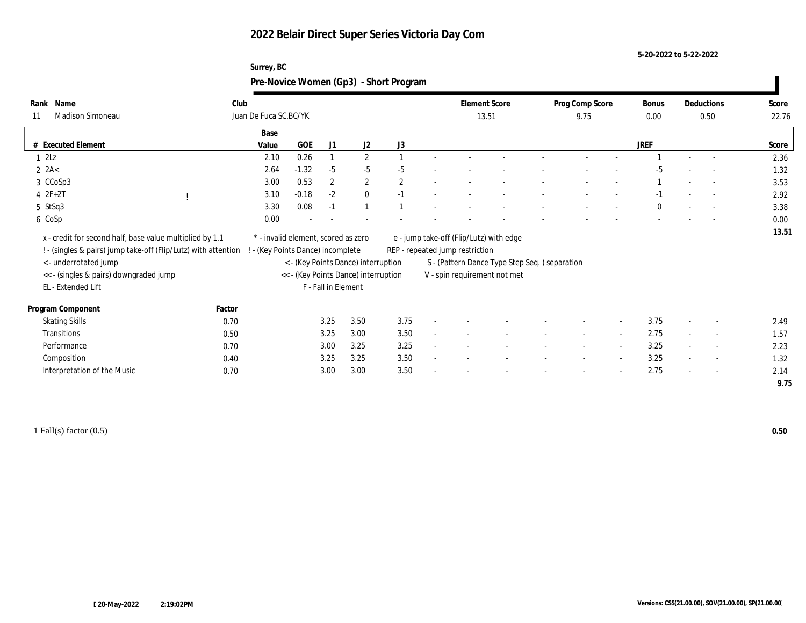### **5-20-2022 to 5-22-2022**

|                  | Surrey, BC                             |                      |                 |       |            |       |
|------------------|----------------------------------------|----------------------|-----------------|-------|------------|-------|
|                  | Pre-Novice Women (Gp3) - Short Program |                      |                 |       |            |       |
| Name             | Club                                   | <b>Element Score</b> | Prog Comp Score | Bonus | Deductions | Score |
| Madison Simoneau | Juan De Fuca SC, BC/YK                 | 13.51                | 9.75            | 0.00  | 0.50       | 22.76 |
|                  | <b>Service</b>                         |                      |                 |       |            |       |

|                                                                                                                                                    |        | Juan De Fuca SC, BC/YK                                                 |         |                     |                                                                             |              |        | 13.51                           |                                                                               |                          | 9.75   |        | 0.00        | 0.50                     | 22.76 |
|----------------------------------------------------------------------------------------------------------------------------------------------------|--------|------------------------------------------------------------------------|---------|---------------------|-----------------------------------------------------------------------------|--------------|--------|---------------------------------|-------------------------------------------------------------------------------|--------------------------|--------|--------|-------------|--------------------------|-------|
|                                                                                                                                                    |        | Base                                                                   |         |                     |                                                                             |              |        |                                 |                                                                               |                          |        |        |             |                          |       |
| <b>Executed Element</b>                                                                                                                            |        | Value                                                                  | GOE     | J1                  | J <sub>2</sub>                                                              | J3           |        |                                 |                                                                               |                          |        |        | <b>JREF</b> |                          | Score |
| $1 \t2Lz$                                                                                                                                          |        | 2.10                                                                   | 0.26    |                     | $\overline{2}$                                                              |              |        |                                 |                                                                               |                          |        |        |             |                          | 2.36  |
| $2$ $2A<$                                                                                                                                          |        | 2.64                                                                   | $-1.32$ | $-5$                | $-5$                                                                        | $-5$         |        |                                 |                                                                               |                          |        |        | -5          | $\overline{\phantom{a}}$ | 1.32  |
| 3 CCoSp3                                                                                                                                           |        | 3.00                                                                   | 0.53    | $\boldsymbol{2}$    | $\mathbf{2}$                                                                | $\mathbf{2}$ |        |                                 |                                                                               |                          |        |        |             | $\overline{\phantom{a}}$ | 3.53  |
| $4 2F+2T$                                                                                                                                          |        | 3.10                                                                   | $-0.18$ | $-2$                | $\bf{0}$                                                                    | $-1$         |        |                                 |                                                                               |                          |        |        |             | $\overline{\phantom{a}}$ | 2.92  |
| 5 StSq3                                                                                                                                            |        | 3.30                                                                   | 0.08    | $-1$                |                                                                             |              |        |                                 |                                                                               |                          |        |        |             | $\sim$                   | 3.38  |
| 6 CoSp                                                                                                                                             |        | 0.00                                                                   |         |                     |                                                                             |              |        |                                 |                                                                               |                          |        |        |             | $\overline{\phantom{a}}$ | 0.00  |
| x - credit for second half, base value multiplied by 1.1<br>! - (singles & pairs) jump take-off (Flip/Lutz) with attention<br><- underrotated jump |        | * - invalid element, scored as zero<br>- (Key Points Dance) incomplete |         |                     |                                                                             |              |        | REP - repeated jump restriction | e - jump take-off (Flip/Lutz) with edge                                       |                          |        |        |             |                          | 13.51 |
| << - (singles & pairs) downgraded jump<br>EL - Extended Lift                                                                                       |        |                                                                        |         | F - Fall in Element | < - (Key Points Dance) interruption<br><< - (Key Points Dance) interruption |              |        |                                 | S - (Pattern Dance Type Step Seq.) separation<br>V - spin requirement not met |                          |        |        |             |                          |       |
| Program Component                                                                                                                                  | Factor |                                                                        |         |                     |                                                                             |              |        |                                 |                                                                               |                          |        |        |             |                          |       |
| <b>Skating Skills</b>                                                                                                                              | 0.70   |                                                                        |         | 3.25                | 3.50                                                                        | 3.75         |        |                                 |                                                                               |                          |        |        | 3.75        | $\overline{\phantom{0}}$ | 2.49  |
| Transitions                                                                                                                                        | 0.50   |                                                                        |         | 3.25                | 3.00                                                                        | 3.50         | $\sim$ |                                 |                                                                               | $\overline{\phantom{a}}$ | $\sim$ |        | 2.75        | $\overline{\phantom{a}}$ | 1.57  |
| Performance                                                                                                                                        | 0.70   |                                                                        |         | 3.00                | 3.25                                                                        | 3.25         |        |                                 |                                                                               | $\overline{\phantom{a}}$ | $\sim$ | $\sim$ | 3.25        | $\overline{\phantom{a}}$ | 2.23  |
| Composition                                                                                                                                        | 0.40   |                                                                        |         | 3.25                | 3.25                                                                        | 3.50         |        |                                 |                                                                               |                          |        | $\sim$ | 3.25        | $\sim$                   | 1.32  |

1 Fall(s) factor (0.5) **0.50**

**Rank**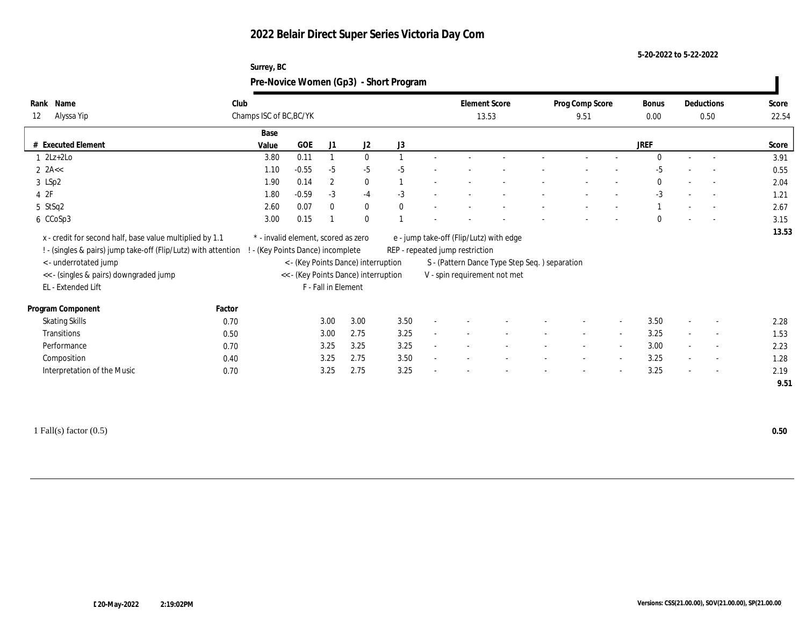**Surrey, BC**

**5-20-2022 to 5-22-2022**

|                                                                                                                            |        | Pre-Novice Women (Gp3) - Short Program                                   |              |                     |                                      |      |                                                                            |                                               |                          |                          |                      |                          |                |
|----------------------------------------------------------------------------------------------------------------------------|--------|--------------------------------------------------------------------------|--------------|---------------------|--------------------------------------|------|----------------------------------------------------------------------------|-----------------------------------------------|--------------------------|--------------------------|----------------------|--------------------------|----------------|
| Rank Name<br>12<br>Alyssa Yip                                                                                              | Club   | Champs ISC of BC, BC/YK                                                  |              |                     |                                      |      | <b>Element Score</b><br>13.53                                              |                                               | Prog Comp Score<br>9.51  |                          | <b>Bonus</b><br>0.00 | Deductions<br>0.50       | Score<br>22.54 |
|                                                                                                                            |        | Base                                                                     |              |                     |                                      |      |                                                                            |                                               |                          |                          |                      |                          |                |
| # Executed Element                                                                                                         |        | Value                                                                    | $_{\rm GOE}$ | J1                  | J2                                   | J3   |                                                                            |                                               |                          |                          | <b>JREF</b>          |                          | Score          |
| $1 \quad 2Lz+2Lo$                                                                                                          |        | 3.80                                                                     | 0.11         |                     | $\mathbf{0}$                         |      |                                                                            |                                               |                          |                          | $\Omega$             | $\overline{\phantom{a}}$ | 3.91           |
| $2$ 2A <<                                                                                                                  |        | 1.10                                                                     | $-0.55$      | $-5$                | $-5$                                 | $-5$ |                                                                            |                                               |                          |                          | $-5$                 | $\overline{a}$           | 0.55           |
| 3 LSp2                                                                                                                     |        | 1.90                                                                     | 0.14         | $\mathbf{2}$        | $\bf{0}$                             |      |                                                                            |                                               |                          |                          | $\Omega$             | $\overline{\phantom{a}}$ | 2.04           |
| 42F                                                                                                                        |        | 1.80                                                                     | $-0.59$      | $-3$                | $-4$                                 | $-3$ |                                                                            |                                               |                          |                          | $-3$                 |                          | 1.21           |
| 5 StSq2                                                                                                                    |        | 2.60                                                                     | 0.07         | $\mathbf{0}$        | $\bf{0}$                             |      |                                                                            |                                               |                          |                          |                      | $\sim$                   | 2.67           |
| 6 CCoSp3                                                                                                                   |        | 3.00                                                                     | 0.15         |                     | $\mathbf{0}$                         |      |                                                                            |                                               |                          |                          | $\theta$             | $\overline{\phantom{a}}$ | 3.15           |
| x - credit for second half, base value multiplied by 1.1<br>! - (singles & pairs) jump take-off (Flip/Lutz) with attention |        | * - invalid element, scored as zero<br>! - (Key Points Dance) incomplete |              |                     |                                      |      | e - jump take-off (Flip/Lutz) with edge<br>REP - repeated jump restriction |                                               |                          |                          |                      |                          | 13.53          |
| <- underrotated jump                                                                                                       |        |                                                                          |              |                     | < - (Key Points Dance) interruption  |      |                                                                            | S - (Pattern Dance Type Step Seq.) separation |                          |                          |                      |                          |                |
| << - (singles & pairs) downgraded jump                                                                                     |        |                                                                          |              |                     | << - (Key Points Dance) interruption |      | V - spin requirement not met                                               |                                               |                          |                          |                      |                          |                |
| EL - Extended Lift                                                                                                         |        |                                                                          |              | F - Fall in Element |                                      |      |                                                                            |                                               |                          |                          |                      |                          |                |
| Program Component                                                                                                          | Factor |                                                                          |              |                     |                                      |      |                                                                            |                                               |                          |                          |                      |                          |                |
| <b>Skating Skills</b>                                                                                                      | 0.70   |                                                                          |              | 3.00                | 3.00                                 | 3.50 |                                                                            |                                               |                          | $\overline{\phantom{a}}$ | 3.50                 | $\overline{\phantom{a}}$ | 2.28           |
| Transitions                                                                                                                | 0.50   |                                                                          |              | 3.00                | 2.75                                 | 3.25 |                                                                            |                                               | $\overline{\phantom{a}}$ | $\sim$                   | 3.25                 | $\sim$                   | 1.53           |
| Performance                                                                                                                | 0.70   |                                                                          |              | 3.25                | 3.25                                 | 3.25 |                                                                            |                                               |                          | $\overline{\phantom{a}}$ | 3.00                 |                          | 2.23           |
| Composition                                                                                                                | 0.40   |                                                                          |              | 3.25                | 2.75                                 | 3.50 |                                                                            |                                               |                          | $\sim$                   | 3.25                 | $\sim$                   | 1.28           |
| Interpretation of the Music                                                                                                | 0.70   |                                                                          |              | 3.25                | 2.75                                 | 3.25 |                                                                            |                                               |                          | $\overline{\phantom{a}}$ | 3.25                 | $\overline{\phantom{a}}$ | 2.19           |
|                                                                                                                            |        |                                                                          |              |                     |                                      |      |                                                                            |                                               |                          |                          |                      |                          | 9.51           |
|                                                                                                                            |        |                                                                          |              |                     |                                      |      |                                                                            |                                               |                          |                          |                      |                          |                |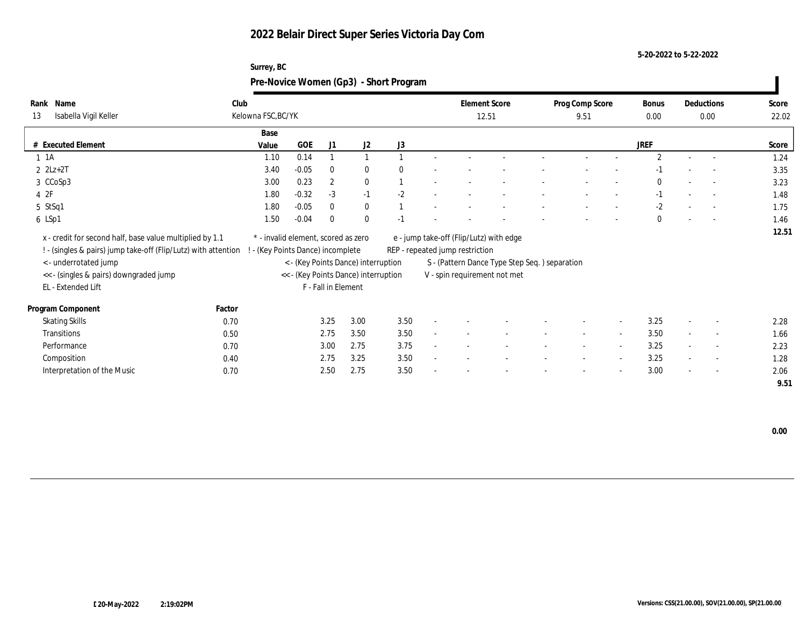**5-20-2022 to 5-22-2022**

|                                                                                                                            |        | Pre-Novice Women (Gp3) - Short Program                                 |            |                     |                                      |      |                                 |                                               |                         |                          |                      |                          |                          |                |
|----------------------------------------------------------------------------------------------------------------------------|--------|------------------------------------------------------------------------|------------|---------------------|--------------------------------------|------|---------------------------------|-----------------------------------------------|-------------------------|--------------------------|----------------------|--------------------------|--------------------------|----------------|
| Rank Name<br>Isabella Vigil Keller<br>13                                                                                   | Club   | Kelowna FSC, BC/YK                                                     |            |                     |                                      |      | 12.51                           | <b>Element Score</b>                          | Prog Comp Score<br>9.51 |                          | <b>Bonus</b><br>0.00 |                          | Deductions<br>0.00       | Score<br>22.02 |
|                                                                                                                            |        | Base                                                                   |            |                     |                                      |      |                                 |                                               |                         |                          |                      |                          |                          |                |
| # Executed Element                                                                                                         |        | Value                                                                  | <b>GOE</b> | J1                  | J2                                   | J3   |                                 |                                               |                         |                          | <b>JREF</b>          |                          |                          | Score          |
| 1 1 A                                                                                                                      |        | 1.10                                                                   | 0.14       |                     |                                      |      |                                 |                                               |                         |                          | $\overline{2}$       | $\sim$                   |                          | 1.24           |
| $2$ $2Lz+2T$                                                                                                               |        | 3.40                                                                   | $-0.05$    |                     | $\bf{0}$                             |      |                                 |                                               |                         |                          |                      |                          |                          | 3.35           |
| 3 CCoSp3                                                                                                                   |        | 3.00                                                                   | 0.23       | $\boldsymbol{2}$    | $\bf{0}$                             |      |                                 |                                               |                         |                          |                      |                          | $\sim$                   | 3.23           |
| 4 2F                                                                                                                       |        | 1.80                                                                   | $-0.32$    | $-3$                | $-1$                                 | $-2$ |                                 |                                               |                         |                          |                      |                          |                          | 1.48           |
| 5 StSq1                                                                                                                    |        | 1.80                                                                   | $-0.05$    |                     | $\mathbf{0}$                         |      |                                 |                                               |                         |                          | $-2$                 |                          | $\overline{\phantom{a}}$ | 1.75           |
| 6 LSp1                                                                                                                     |        | 1.50                                                                   | $-0.04$    | $\Omega$            | $\mathbf{0}$                         |      |                                 |                                               |                         |                          | $\mathbf{0}$         |                          | $\overline{\phantom{a}}$ | 1.46           |
| x - credit for second half, base value multiplied by 1.1<br>! - (singles & pairs) jump take-off (Flip/Lutz) with attention |        | * - invalid element, scored as zero<br>- (Key Points Dance) incomplete |            |                     |                                      |      | REP - repeated jump restriction | e - jump take-off (Flip/Lutz) with edge       |                         |                          |                      |                          |                          | 12.51          |
| < - underrotated jump                                                                                                      |        |                                                                        |            |                     | < - (Key Points Dance) interruption  |      |                                 | S - (Pattern Dance Type Step Seq.) separation |                         |                          |                      |                          |                          |                |
| << - (singles & pairs) downgraded jump                                                                                     |        |                                                                        |            |                     | << - (Key Points Dance) interruption |      |                                 | V - spin requirement not met                  |                         |                          |                      |                          |                          |                |
| EL - Extended Lift                                                                                                         |        |                                                                        |            | F - Fall in Element |                                      |      |                                 |                                               |                         |                          |                      |                          |                          |                |
| Program Component                                                                                                          | Factor |                                                                        |            |                     |                                      |      |                                 |                                               |                         |                          |                      |                          |                          |                |
| <b>Skating Skills</b>                                                                                                      | 0.70   |                                                                        |            | 3.25                | 3.00                                 | 3.50 |                                 |                                               |                         |                          | 3.25                 |                          |                          | 2.28           |
| Transitions                                                                                                                | 0.50   |                                                                        |            | 2.75                | 3.50                                 | 3.50 |                                 |                                               |                         | $\overline{\phantom{a}}$ | 3.50                 | $\sim$                   |                          | 1.66           |
| Performance                                                                                                                | 0.70   |                                                                        |            | 3.00                | 2.75                                 | 3.75 |                                 |                                               |                         | $\overline{\phantom{a}}$ | 3.25                 |                          | $\overline{\phantom{a}}$ | 2.23           |
| Composition                                                                                                                | 0.40   |                                                                        |            | 2.75                | 3.25                                 | 3.50 |                                 |                                               |                         | $\sim$                   | 3.25                 | $\overline{\phantom{a}}$ | $\sim$                   | 1.28           |
| Interpretation of the Music                                                                                                | 0.70   |                                                                        |            | 2.50                | 2.75                                 | 3.50 |                                 |                                               |                         |                          | 3.00                 |                          |                          | 2.06           |

# **Surrey, BC**

 **0.00**

 **9.51**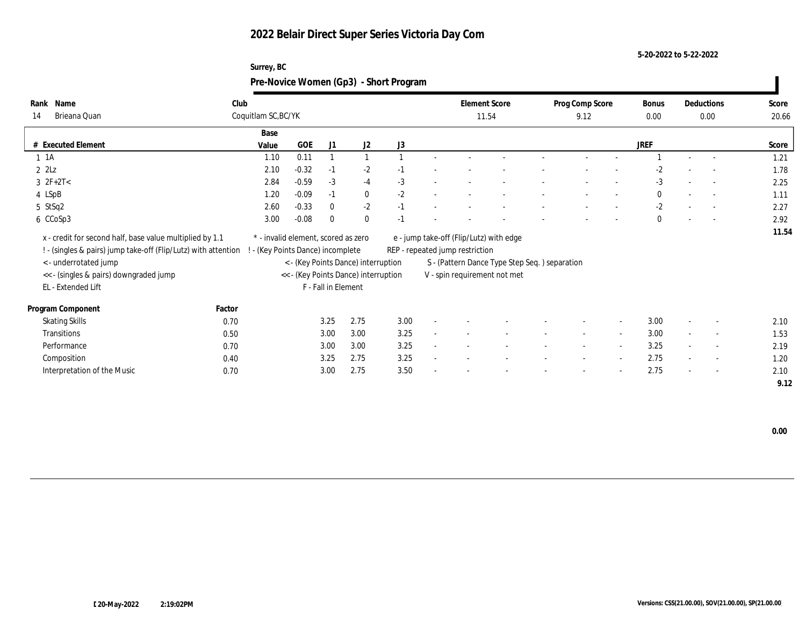### **5-20-2022 to 5-22-2022**

| Surrey, BC                             |  |
|----------------------------------------|--|
| Pre-Novice Women (Gp3) - Short Program |  |

| Name<br>Rank<br>Brieana Quan<br>14                             | Club   | Coquitlam SC, BC/YK                 |         |                     |                                      |      |              | <b>Element Score</b>            | 11.54                                         | Prog Comp Score<br>9.12  |                          | Bonus<br>0.00 |        | Deductions<br>0.00       | Score<br>20.66 |
|----------------------------------------------------------------|--------|-------------------------------------|---------|---------------------|--------------------------------------|------|--------------|---------------------------------|-----------------------------------------------|--------------------------|--------------------------|---------------|--------|--------------------------|----------------|
|                                                                |        | Base                                |         |                     |                                      |      |              |                                 |                                               |                          |                          |               |        |                          |                |
| # Executed Element                                             |        | Value                               | GOE     | J1                  | J2                                   | J3   |              |                                 |                                               |                          |                          | <b>JREF</b>   |        |                          | Score          |
| $1 \t1A$                                                       |        | 1.10                                | 0.11    |                     |                                      |      |              |                                 |                                               |                          |                          |               |        |                          | 1.21           |
| $2$ $2\text{L}z$                                               |        | 2.10                                | $-0.32$ | $-1$                | $-2$                                 | -1   |              |                                 |                                               |                          |                          | $-2$          |        | $\overline{\phantom{a}}$ | 1.78           |
| $3 \t2F+2T<$                                                   |        | 2.84                                | $-0.59$ | $-3$                | $-4$                                 | $-3$ | $\sim$       |                                 |                                               |                          |                          | $-3$          |        | $\overline{\phantom{a}}$ | 2.25           |
| 4 LSpB                                                         |        | 1.20                                | $-0.09$ | $-1$                | $\bf{0}$                             | $-2$ |              |                                 |                                               |                          |                          | $\mathbf{0}$  |        | $\overline{\phantom{a}}$ | 1.11           |
| 5 StSq2                                                        |        | 2.60                                | $-0.33$ | $\mathbf{0}$        | $-2$                                 | $-1$ |              |                                 |                                               |                          |                          | $-2$          |        | $\overline{\phantom{a}}$ | 2.27           |
| 6 CCoSp3                                                       |        | 3.00                                | $-0.08$ | $\mathbf{0}$        | $\mathbf{0}$                         | $-1$ |              |                                 |                                               |                          |                          | $\mathbf{0}$  |        | $\sim$                   | 2.92           |
| x - credit for second half, base value multiplied by 1.1       |        | * - invalid element, scored as zero |         |                     |                                      |      |              |                                 | e - jump take-off (Flip/Lutz) with edge       |                          |                          |               |        |                          | 11.54          |
| ! - (singles & pairs) jump take-off (Flip/Lutz) with attention |        | (Key Points Dance) incomplete       |         |                     |                                      |      |              | REP - repeated jump restriction |                                               |                          |                          |               |        |                          |                |
| < - underrotated jump                                          |        |                                     |         |                     | < - (Key Points Dance) interruption  |      |              |                                 | S - (Pattern Dance Type Step Seq.) separation |                          |                          |               |        |                          |                |
| << - (singles & pairs) downgraded jump                         |        |                                     |         |                     | << - (Key Points Dance) interruption |      |              |                                 | V - spin requirement not met                  |                          |                          |               |        |                          |                |
| EL - Extended Lift                                             |        |                                     |         | F - Fall in Element |                                      |      |              |                                 |                                               |                          |                          |               |        |                          |                |
| Program Component                                              | Factor |                                     |         |                     |                                      |      |              |                                 |                                               |                          |                          |               |        |                          |                |
| <b>Skating Skills</b>                                          | 0.70   |                                     |         | 3.25                | 2.75                                 | 3.00 |              |                                 |                                               |                          | $\sim$                   | 3.00          |        | $\overline{\phantom{a}}$ | 2.10           |
| Transitions                                                    | 0.50   |                                     |         | 3.00                | 3.00                                 | 3.25 | $\mathbf{r}$ |                                 |                                               | $\sim$                   | $\overline{\phantom{a}}$ | 3.00          | $\sim$ | $\sim$                   | 1.53           |
| Performance                                                    | 0.70   |                                     |         | 3.00                | 3.00                                 | 3.25 | ٠            |                                 |                                               | $\overline{\phantom{a}}$ | $\sim$                   | 3.25          | $\sim$ | $\sim$                   | 2.19           |
| Composition                                                    | 0.40   |                                     |         | 3.25                | 2.75                                 | 3.25 |              |                                 |                                               |                          | $\overline{\phantom{a}}$ | 2.75          | $\sim$ | $\sim$                   | 1.20           |
| Interpretation of the Music                                    | 0.70   |                                     |         | 3.00                | 2.75                                 | 3.50 |              |                                 |                                               | $\overline{\phantom{0}}$ | $\overline{\phantom{a}}$ | 2.75          | $\sim$ | $\overline{\phantom{a}}$ | 2.10           |
|                                                                |        |                                     |         |                     |                                      |      |              |                                 |                                               |                          |                          |               |        |                          | 9.12           |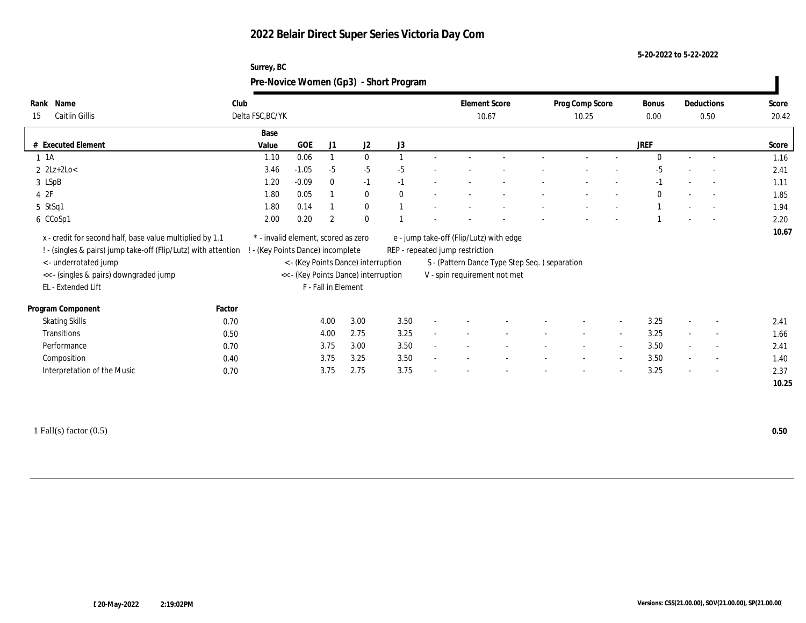**Surrey, BC**

**5-20-2022 to 5-22-2022**

|                                                                                                                            |        | Pre-Novice Women (Gp3) - Short Program                                 |         |                     |                                      |      |                                 |                                               |                          |                          |                      |        |                    |                |
|----------------------------------------------------------------------------------------------------------------------------|--------|------------------------------------------------------------------------|---------|---------------------|--------------------------------------|------|---------------------------------|-----------------------------------------------|--------------------------|--------------------------|----------------------|--------|--------------------|----------------|
| Rank Name<br><b>Caitlin Gillis</b><br>15                                                                                   | Club   | Delta FSC, BC/YK                                                       |         |                     |                                      |      | <b>Element Score</b><br>10.67   |                                               | Prog Comp Score<br>10.25 |                          | <b>Bonus</b><br>0.00 |        | Deductions<br>0.50 | Score<br>20.42 |
|                                                                                                                            |        | Base                                                                   |         |                     |                                      |      |                                 |                                               |                          |                          |                      |        |                    |                |
| # Executed Element                                                                                                         |        | Value                                                                  | GOE     | J1                  | J2                                   | J3   |                                 |                                               |                          |                          | <b>JREF</b>          |        |                    | Score          |
| 1 1 A                                                                                                                      |        | 1.10                                                                   | 0.06    |                     | $\mathbf{0}$                         |      |                                 |                                               |                          |                          | $\Omega$             |        | $\overline{a}$     | 1.16           |
| $2 \text{ } 2Lz + 2Lo <$                                                                                                   |        | 3.46                                                                   | $-1.05$ | $-5$                | $-5$                                 | -5   |                                 |                                               |                          |                          | -5                   |        |                    | 2.41           |
| 3 LSpB                                                                                                                     |        | 1.20                                                                   | $-0.09$ | $\mathbf{0}$        | $-1$                                 | -1   |                                 |                                               |                          |                          |                      |        |                    | 1.11           |
| 42F                                                                                                                        |        | 1.80                                                                   | 0.05    |                     | $\mathbf{0}$                         |      |                                 |                                               |                          |                          | $\theta$             |        | $\sim$             | 1.85           |
| 5 StSq1                                                                                                                    |        | 1.80                                                                   | 0.14    |                     | $\mathbf{0}$                         |      |                                 |                                               |                          |                          |                      |        | $\sim$             | 1.94           |
| 6 CCoSp1                                                                                                                   |        | 2.00                                                                   | 0.20    | $\overline{2}$      | $\Omega$                             |      |                                 |                                               |                          |                          |                      |        |                    | 2.20           |
| x - credit for second half, base value multiplied by 1.1<br>! - (singles & pairs) jump take-off (Flip/Lutz) with attention |        | * - invalid element, scored as zero<br>- (Key Points Dance) incomplete |         |                     |                                      |      | REP - repeated jump restriction | e - jump take-off (Flip/Lutz) with edge       |                          |                          |                      |        |                    | 10.67          |
| < - underrotated jump                                                                                                      |        |                                                                        |         |                     | < - (Key Points Dance) interruption  |      |                                 | S - (Pattern Dance Type Step Seq.) separation |                          |                          |                      |        |                    |                |
| << - (singles & pairs) downgraded jump                                                                                     |        |                                                                        |         |                     | << - (Key Points Dance) interruption |      |                                 | V - spin requirement not met                  |                          |                          |                      |        |                    |                |
| EL - Extended Lift                                                                                                         |        |                                                                        |         | F - Fall in Element |                                      |      |                                 |                                               |                          |                          |                      |        |                    |                |
| Program Component                                                                                                          | Factor |                                                                        |         |                     |                                      |      |                                 |                                               |                          |                          |                      |        |                    |                |
| <b>Skating Skills</b>                                                                                                      | 0.70   |                                                                        |         | 4.00                | 3.00                                 | 3.50 |                                 |                                               |                          |                          | 3.25                 |        |                    | 2.41           |
| Transitions                                                                                                                | 0.50   |                                                                        |         | 4.00                | 2.75                                 | 3.25 |                                 |                                               |                          | $\sim$                   | 3.25                 |        |                    | 1.66           |
| Performance                                                                                                                | 0.70   |                                                                        |         | 3.75                | 3.00                                 | 3.50 |                                 |                                               | $\overline{\phantom{a}}$ | $\overline{\phantom{a}}$ | 3.50                 |        | $\sim$             | 2.41           |
| Composition                                                                                                                | 0.40   |                                                                        |         | 3.75                | 3.25                                 | 3.50 |                                 |                                               | $\overline{\phantom{a}}$ | $\sim$                   | 3.50                 | $\sim$ | $\sim$             | 1.40           |
| Interpretation of the Music                                                                                                | 0.70   |                                                                        |         | 3.75                | 2.75                                 | 3.75 |                                 |                                               |                          | $\overline{\phantom{a}}$ | 3.25                 |        | $\sim$             | 2.37           |
|                                                                                                                            |        |                                                                        |         |                     |                                      |      |                                 |                                               |                          |                          |                      |        |                    | 10.25          |
|                                                                                                                            |        |                                                                        |         |                     |                                      |      |                                 |                                               |                          |                          |                      |        |                    |                |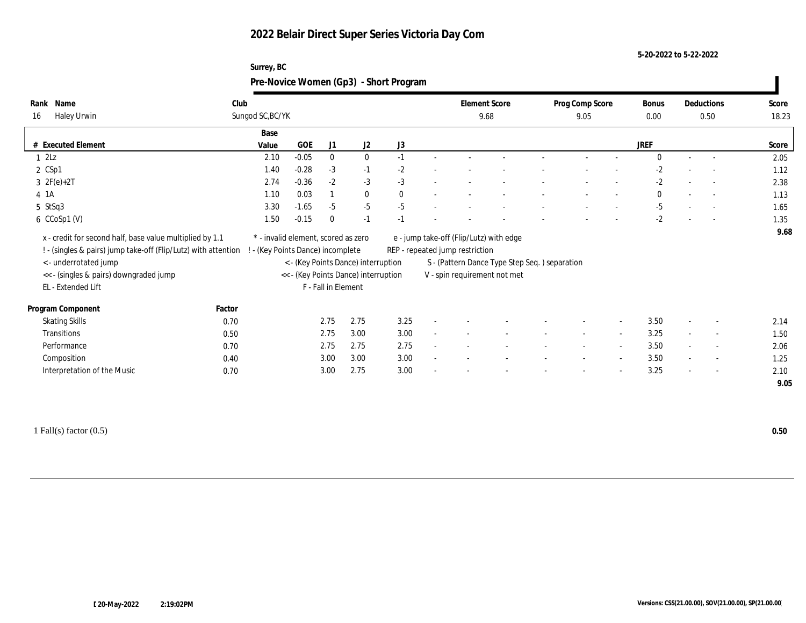**Surrey, BC**

**5-20-2022 to 5-22-2022**

|                                                                |        | Pre-Novice Women (Gp3) - Short Program |         |                     |                                      |      |                                         |                                               |                          |                          |              |                          |                          |       |
|----------------------------------------------------------------|--------|----------------------------------------|---------|---------------------|--------------------------------------|------|-----------------------------------------|-----------------------------------------------|--------------------------|--------------------------|--------------|--------------------------|--------------------------|-------|
| Rank Name                                                      | Club   |                                        |         |                     |                                      |      | <b>Element Score</b>                    |                                               | Prog Comp Score          |                          | <b>Bonus</b> |                          | Deductions               | Score |
| Haley Urwin<br>16                                              |        | Sungod SC, BC/YK                       |         |                     |                                      |      | 9.68                                    |                                               | 9.05                     |                          | 0.00         |                          | 0.50                     | 18.23 |
|                                                                |        | Base                                   |         |                     |                                      |      |                                         |                                               |                          |                          |              |                          |                          |       |
| # Executed Element                                             |        | Value                                  | GOE     | J1                  | J <sub>2</sub>                       | J3   |                                         |                                               |                          |                          | <b>JREF</b>  |                          |                          | Score |
| $1 \t2Lz$                                                      |        | 2.10                                   | $-0.05$ | $\mathbf{0}$        | $\mathbf{0}$                         | $-1$ |                                         |                                               |                          |                          | $\Omega$     |                          |                          | 2.05  |
| $2 \text{ CSp1}$                                               |        | 1.40                                   | $-0.28$ | $-3$                | $-1$                                 | $-2$ |                                         |                                               |                          |                          | $-2$         |                          | $\overline{\phantom{a}}$ | 1.12  |
| $3 \t2F(e)+2T$                                                 |        | 2.74                                   | $-0.36$ | $-2$                | $-3$                                 | $-3$ |                                         |                                               |                          |                          | $-2$         |                          | $\overline{a}$           | 2.38  |
| $4$ 1A                                                         |        | 1.10                                   | 0.03    |                     | $\mathbf{0}$                         |      |                                         |                                               |                          |                          | $\mathbf{0}$ |                          | $\overline{\phantom{a}}$ | 1.13  |
| 5 StSq3                                                        |        | 3.30                                   | $-1.65$ | $-5$                | $-5$                                 | $-5$ |                                         |                                               |                          |                          | $-5$         |                          | $\sim$                   | 1.65  |
| 6 CCoSp1 (V)                                                   |        | 1.50                                   | $-0.15$ | $\bf{0}$            | $-1$                                 |      |                                         |                                               |                          |                          | $-2$         |                          | $\overline{a}$           | 1.35  |
| x - credit for second half, base value multiplied by 1.1       |        | * - invalid element, scored as zero    |         |                     |                                      |      | e - jump take-off (Flip/Lutz) with edge |                                               |                          |                          |              |                          |                          | 9.68  |
| ! - (singles & pairs) jump take-off (Flip/Lutz) with attention |        | ! - (Key Points Dance) incomplete      |         |                     |                                      |      | REP - repeated jump restriction         |                                               |                          |                          |              |                          |                          |       |
| < - underrotated jump                                          |        |                                        |         |                     | < - (Key Points Dance) interruption  |      |                                         | S - (Pattern Dance Type Step Seq.) separation |                          |                          |              |                          |                          |       |
| << - (singles & pairs) downgraded jump                         |        |                                        |         |                     | << - (Key Points Dance) interruption |      | V - spin requirement not met            |                                               |                          |                          |              |                          |                          |       |
| EL - Extended Lift                                             |        |                                        |         | F - Fall in Element |                                      |      |                                         |                                               |                          |                          |              |                          |                          |       |
| Program Component                                              | Factor |                                        |         |                     |                                      |      |                                         |                                               |                          |                          |              |                          |                          |       |
| <b>Skating Skills</b>                                          | 0.70   |                                        |         | 2.75                | 2.75                                 | 3.25 |                                         |                                               |                          | $\overline{\phantom{a}}$ | 3.50         |                          | $\overline{\phantom{a}}$ | 2.14  |
| Transitions                                                    | 0.50   |                                        |         | 2.75                | 3.00                                 | 3.00 |                                         |                                               |                          | $\sim$                   | 3.25         |                          | $\overline{\phantom{a}}$ | 1.50  |
| Performance                                                    | 0.70   |                                        |         | 2.75                | 2.75                                 | 2.75 |                                         |                                               | $\overline{\phantom{a}}$ | $\sim$                   | 3.50         |                          | $\overline{\phantom{a}}$ | 2.06  |
| Composition                                                    | 0.40   |                                        |         | 3.00                | 3.00                                 | 3.00 |                                         |                                               | $\overline{\phantom{a}}$ | $\sim$                   | 3.50         | $\overline{\phantom{a}}$ | $\overline{\phantom{a}}$ | 1.25  |
| Interpretation of the Music                                    | 0.70   |                                        |         | 3.00                | 2.75                                 | 3.00 |                                         |                                               |                          | $\overline{\phantom{a}}$ | 3.25         |                          | $\overline{\phantom{a}}$ | 2.10  |
|                                                                |        |                                        |         |                     |                                      |      |                                         |                                               |                          |                          |              |                          |                          | 9.05  |
|                                                                |        |                                        |         |                     |                                      |      |                                         |                                               |                          |                          |              |                          |                          |       |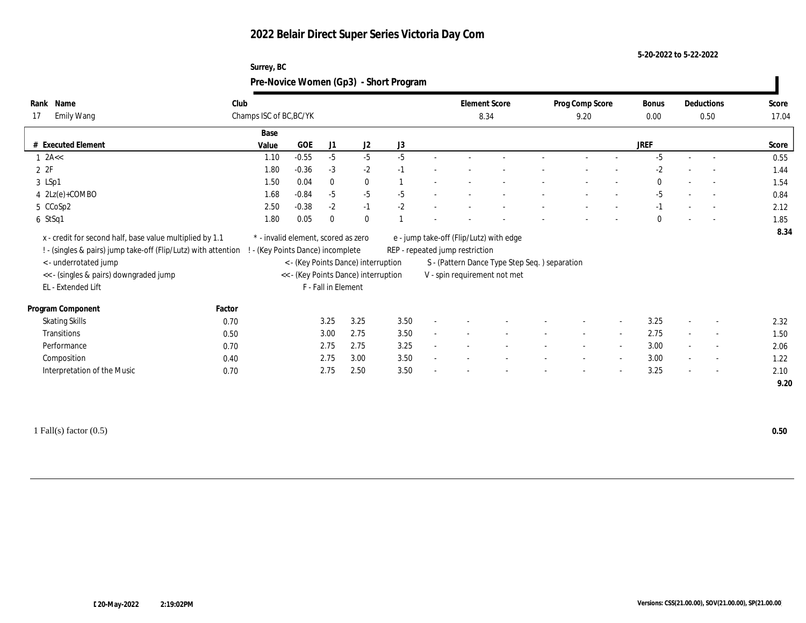### **5-20-2022 to 5-22-2022**

| Surrey, BC                             |
|----------------------------------------|
| Pre-Novice Women (Gp3) - Short Program |

| Name<br>Rank                                                                                                                                                                                                        | Club   |                                                                                                                                                     |                     |              |      |        |                                 | <b>Element Score</b><br>8.34                                                                                             |  |      | Prog Comp Score          | <b>Bonus</b> | Deductions |                          | Score |
|---------------------------------------------------------------------------------------------------------------------------------------------------------------------------------------------------------------------|--------|-----------------------------------------------------------------------------------------------------------------------------------------------------|---------------------|--------------|------|--------|---------------------------------|--------------------------------------------------------------------------------------------------------------------------|--|------|--------------------------|--------------|------------|--------------------------|-------|
| Emily Wang<br>17                                                                                                                                                                                                    |        | Champs ISC of BC, BC/YK                                                                                                                             |                     |              |      |        |                                 |                                                                                                                          |  | 9.20 |                          | $0.00\,$     | 0.50       |                          | 17.04 |
|                                                                                                                                                                                                                     | Base   |                                                                                                                                                     |                     |              |      |        |                                 |                                                                                                                          |  |      |                          |              |            |                          |       |
| # Executed Element                                                                                                                                                                                                  | Value  | <b>GOE</b>                                                                                                                                          | J1                  | J2           | J3   |        |                                 |                                                                                                                          |  |      |                          | <b>JREF</b>  |            |                          | Score |
| $1$ 2A $\lt$                                                                                                                                                                                                        | 1.10   | $-0.55$                                                                                                                                             | $-5$                | $-5$         | $-5$ |        |                                 |                                                                                                                          |  |      |                          | $-5$         |            | $\sim$                   | 0.55  |
| 2 2F                                                                                                                                                                                                                | 1.80   | $-0.36$                                                                                                                                             | $-3$                | $-2$         | $-1$ |        |                                 |                                                                                                                          |  |      |                          | $-2$         |            | $\overline{\phantom{a}}$ | 1.44  |
| 3 LSp1                                                                                                                                                                                                              | 1.50   | 0.04                                                                                                                                                | $\mathbf{0}$        | $\bf{0}$     |      |        |                                 |                                                                                                                          |  |      |                          | $\mathbf{0}$ |            | $\overline{\phantom{a}}$ | 1.54  |
| 4 2Lz(e)+COMBO                                                                                                                                                                                                      | 1.68   | $-0.84$                                                                                                                                             | $-5$                | $-5$         | $-5$ |        |                                 |                                                                                                                          |  |      |                          | $-5$         |            | $\overline{\phantom{a}}$ | 0.84  |
| 5 CCoSp2                                                                                                                                                                                                            | 2.50   | $-0.38$                                                                                                                                             | $-2$                | $-1$         | $-2$ |        |                                 |                                                                                                                          |  |      |                          | $-1$         |            | $\overline{a}$           | 2.12  |
| $6$ StSq1                                                                                                                                                                                                           | 1.80   | 0.05                                                                                                                                                | $\mathbf{0}$        | $\mathbf{0}$ |      |        |                                 |                                                                                                                          |  |      |                          | $\mathbf{0}$ |            | $\overline{a}$           | 1.85  |
|                                                                                                                                                                                                                     |        |                                                                                                                                                     |                     |              |      |        |                                 |                                                                                                                          |  |      |                          |              |            |                          |       |
| x - credit for second half, base value multiplied by 1.1<br>! - (singles & pairs) jump take-off (Flip/Lutz) with attention<br>< - underrotated jump<br><< - (singles & pairs) downgraded jump<br>EL - Extended Lift |        | * - invalid element, scored as zero<br>(Key Points Dance) incomplete<br>< - (Key Points Dance) interruption<br><< - (Key Points Dance) interruption | F - Fall in Element |              |      |        | REP - repeated jump restriction | e - jump take-off (Flip/Lutz) with edge<br>S - (Pattern Dance Type Step Seq.) separation<br>V - spin requirement not met |  |      |                          |              |            |                          |       |
| Program Component                                                                                                                                                                                                   | Factor |                                                                                                                                                     |                     |              |      |        |                                 |                                                                                                                          |  |      |                          |              |            |                          | 8.34  |
| <b>Skating Skills</b>                                                                                                                                                                                               | 0.70   |                                                                                                                                                     | 3.25                | 3.25         | 3.50 |        |                                 |                                                                                                                          |  |      |                          | 3.25         |            | $\overline{\phantom{a}}$ | 2.32  |
| Transitions                                                                                                                                                                                                         | 0.50   |                                                                                                                                                     | 3.00                | 2.75         | 3.50 | $\sim$ |                                 |                                                                                                                          |  |      |                          | 2.75         |            | $\overline{\phantom{a}}$ | 1.50  |
| Performance                                                                                                                                                                                                         | 0.70   |                                                                                                                                                     | 2.75                | 2.75         | 3.25 |        |                                 |                                                                                                                          |  |      |                          | 3.00         |            | $\overline{\phantom{a}}$ | 2.06  |
| Composition                                                                                                                                                                                                         | 0.40   |                                                                                                                                                     | 2.75                | 3.00         | 3.50 |        |                                 |                                                                                                                          |  |      | $\overline{\phantom{a}}$ | 3.00         |            | $\sim$                   | 1.22  |

1 Fall(s) factor (0.5) **0.50**